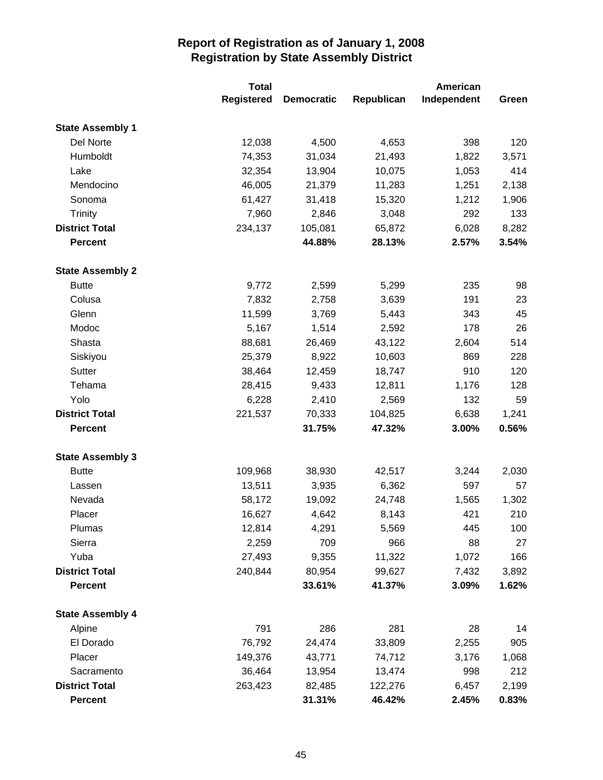|                         | <b>Total</b>      |                   | American   |             |       |
|-------------------------|-------------------|-------------------|------------|-------------|-------|
|                         | <b>Registered</b> | <b>Democratic</b> | Republican | Independent | Green |
| <b>State Assembly 1</b> |                   |                   |            |             |       |
| Del Norte               | 12,038            | 4,500             | 4,653      | 398         | 120   |
| Humboldt                | 74,353            | 31,034            | 21,493     | 1,822       | 3,571 |
| Lake                    | 32,354            | 13,904            | 10,075     | 1,053       | 414   |
| Mendocino               | 46,005            | 21,379            | 11,283     | 1,251       | 2,138 |
| Sonoma                  | 61,427            | 31,418            | 15,320     | 1,212       | 1,906 |
| Trinity                 | 7,960             | 2,846             | 3,048      | 292         | 133   |
| <b>District Total</b>   | 234,137           | 105,081           | 65,872     | 6,028       | 8,282 |
| <b>Percent</b>          |                   | 44.88%            | 28.13%     | 2.57%       | 3.54% |
| <b>State Assembly 2</b> |                   |                   |            |             |       |
| <b>Butte</b>            | 9,772             | 2,599             | 5,299      | 235         | 98    |
| Colusa                  | 7,832             | 2,758             | 3,639      | 191         | 23    |
| Glenn                   | 11,599            | 3,769             | 5,443      | 343         | 45    |
| Modoc                   | 5,167             | 1,514             | 2,592      | 178         | 26    |
| Shasta                  | 88,681            | 26,469            | 43,122     | 2,604       | 514   |
| Siskiyou                | 25,379            | 8,922             | 10,603     | 869         | 228   |
| Sutter                  | 38,464            | 12,459            | 18,747     | 910         | 120   |
| Tehama                  | 28,415            | 9,433             | 12,811     | 1,176       | 128   |
| Yolo                    | 6,228             | 2,410             | 2,569      | 132         | 59    |
| <b>District Total</b>   | 221,537           | 70,333            | 104,825    | 6,638       | 1,241 |
| <b>Percent</b>          |                   | 31.75%            | 47.32%     | 3.00%       | 0.56% |
| <b>State Assembly 3</b> |                   |                   |            |             |       |
| <b>Butte</b>            | 109,968           | 38,930            | 42,517     | 3,244       | 2,030 |
| Lassen                  | 13,511            | 3,935             | 6,362      | 597         | 57    |
| Nevada                  | 58,172            | 19,092            | 24,748     | 1,565       | 1,302 |
| Placer                  | 16,627            | 4,642             | 8,143      | 421         | 210   |
| Plumas                  | 12,814            | 4,291             | 5,569      | 445         | 100   |
| Sierra                  | 2,259             | 709               | 966        | 88          | 27    |
| Yuba                    | 27,493            | 9,355             | 11,322     | 1,072       | 166   |
| <b>District Total</b>   | 240,844           | 80,954            | 99,627     | 7,432       | 3,892 |
| <b>Percent</b>          |                   | 33.61%            | 41.37%     | 3.09%       | 1.62% |
| <b>State Assembly 4</b> |                   |                   |            |             |       |
| Alpine                  | 791               | 286               | 281        | 28          | 14    |
| El Dorado               | 76,792            | 24,474            | 33,809     | 2,255       | 905   |
| Placer                  | 149,376           | 43,771            | 74,712     | 3,176       | 1,068 |
| Sacramento              | 36,464            | 13,954            | 13,474     | 998         | 212   |
| <b>District Total</b>   | 263,423           | 82,485            | 122,276    | 6,457       | 2,199 |
| Percent                 |                   | 31.31%            | 46.42%     | 2.45%       | 0.83% |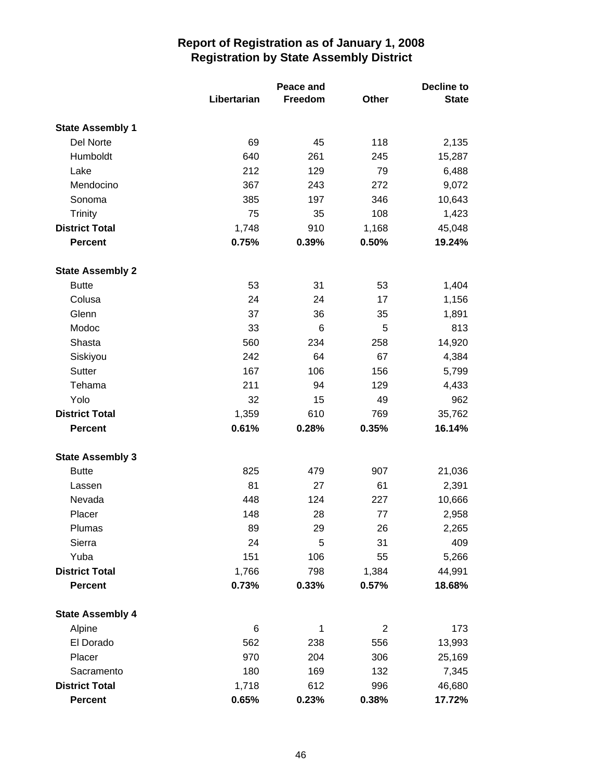|                         | Libertarian | Peace and<br>Freedom | Other | Decline to<br><b>State</b> |
|-------------------------|-------------|----------------------|-------|----------------------------|
| <b>State Assembly 1</b> |             |                      |       |                            |
| Del Norte               | 69          | 45                   | 118   | 2,135                      |
| Humboldt                | 640         | 261                  | 245   | 15,287                     |
| Lake                    | 212         | 129                  | 79    | 6,488                      |
| Mendocino               | 367         | 243                  | 272   | 9,072                      |
| Sonoma                  | 385         | 197                  | 346   | 10,643                     |
| <b>Trinity</b>          | 75          | 35                   | 108   | 1,423                      |
| <b>District Total</b>   | 1,748       | 910                  | 1,168 | 45,048                     |
| <b>Percent</b>          | 0.75%       | 0.39%                | 0.50% | 19.24%                     |
| <b>State Assembly 2</b> |             |                      |       |                            |
| <b>Butte</b>            | 53          | 31                   | 53    | 1,404                      |
| Colusa                  | 24          | 24                   | 17    | 1,156                      |
| Glenn                   | 37          | 36                   | 35    | 1,891                      |
| Modoc                   | 33          | 6                    | 5     | 813                        |
| Shasta                  | 560         | 234                  | 258   | 14,920                     |
| Siskiyou                | 242         | 64                   | 67    | 4,384                      |
| Sutter                  | 167         | 106                  | 156   | 5,799                      |
| Tehama                  | 211         | 94                   | 129   | 4,433                      |
| Yolo                    | 32          | 15                   | 49    | 962                        |
| <b>District Total</b>   | 1,359       | 610                  | 769   | 35,762                     |
| <b>Percent</b>          | 0.61%       | 0.28%                | 0.35% | 16.14%                     |
| <b>State Assembly 3</b> |             |                      |       |                            |
| <b>Butte</b>            | 825         | 479                  | 907   | 21,036                     |
| Lassen                  | 81          | 27                   | 61    | 2,391                      |
| Nevada                  | 448         | 124                  | 227   | 10,666                     |
| Placer                  | 148         | 28                   | 77    | 2,958                      |
| Plumas                  | 89          | 29                   | 26    | 2,265                      |
| Sierra                  | 24          | 5                    | 31    | 409                        |
| Yuba                    | 151         | 106                  | 55    | 5,266                      |
| <b>District Total</b>   | 1,766       | 798                  | 1,384 | 44,991                     |
| <b>Percent</b>          | 0.73%       | 0.33%                | 0.57% | 18.68%                     |
| <b>State Assembly 4</b> |             |                      |       |                            |
| Alpine                  | 6           | 1                    | 2     | 173                        |
| El Dorado               | 562         | 238                  | 556   | 13,993                     |
| Placer                  | 970         | 204                  | 306   | 25,169                     |
| Sacramento              | 180         | 169                  | 132   | 7,345                      |
| <b>District Total</b>   | 1,718       | 612                  | 996   | 46,680                     |
| <b>Percent</b>          | 0.65%       | 0.23%                | 0.38% | 17.72%                     |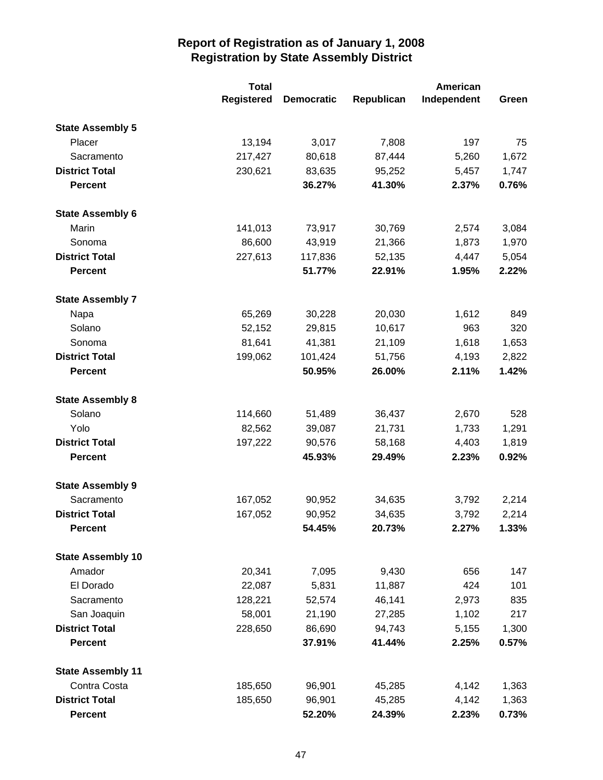|                          | <b>Total</b>      |                   |            | American    |       |
|--------------------------|-------------------|-------------------|------------|-------------|-------|
|                          | <b>Registered</b> | <b>Democratic</b> | Republican | Independent | Green |
| <b>State Assembly 5</b>  |                   |                   |            |             |       |
| Placer                   | 13,194            | 3,017             | 7,808      | 197         | 75    |
| Sacramento               | 217,427           | 80,618            | 87,444     | 5,260       | 1,672 |
| <b>District Total</b>    | 230,621           | 83,635            | 95,252     | 5,457       | 1,747 |
| <b>Percent</b>           |                   | 36.27%            | 41.30%     | 2.37%       | 0.76% |
| <b>State Assembly 6</b>  |                   |                   |            |             |       |
| Marin                    | 141,013           | 73,917            | 30,769     | 2,574       | 3,084 |
| Sonoma                   | 86,600            | 43,919            | 21,366     | 1,873       | 1,970 |
| <b>District Total</b>    | 227,613           | 117,836           | 52,135     | 4,447       | 5,054 |
| <b>Percent</b>           |                   | 51.77%            | 22.91%     | 1.95%       | 2.22% |
| <b>State Assembly 7</b>  |                   |                   |            |             |       |
| Napa                     | 65,269            | 30,228            | 20,030     | 1,612       | 849   |
| Solano                   | 52,152            | 29,815            | 10,617     | 963         | 320   |
| Sonoma                   | 81,641            | 41,381            | 21,109     | 1,618       | 1,653 |
| <b>District Total</b>    | 199,062           | 101,424           | 51,756     | 4,193       | 2,822 |
| <b>Percent</b>           |                   | 50.95%            | 26.00%     | 2.11%       | 1.42% |
| <b>State Assembly 8</b>  |                   |                   |            |             |       |
| Solano                   | 114,660           | 51,489            | 36,437     | 2,670       | 528   |
| Yolo                     | 82,562            | 39,087            | 21,731     | 1,733       | 1,291 |
| <b>District Total</b>    | 197,222           | 90,576            | 58,168     | 4,403       | 1,819 |
| <b>Percent</b>           |                   | 45.93%            | 29.49%     | 2.23%       | 0.92% |
| <b>State Assembly 9</b>  |                   |                   |            |             |       |
| Sacramento               | 167,052           | 90,952            | 34,635     | 3,792       | 2,214 |
| <b>District Total</b>    | 167,052           | 90,952            | 34,635     | 3,792       | 2,214 |
| <b>Percent</b>           |                   | 54.45%            | 20.73%     | 2.27%       | 1.33% |
| <b>State Assembly 10</b> |                   |                   |            |             |       |
| Amador                   | 20,341            | 7,095             | 9,430      | 656         | 147   |
| El Dorado                | 22,087            | 5,831             | 11,887     | 424         | 101   |
| Sacramento               | 128,221           | 52,574            | 46,141     | 2,973       | 835   |
| San Joaquin              | 58,001            | 21,190            | 27,285     | 1,102       | 217   |
| <b>District Total</b>    | 228,650           | 86,690            | 94,743     | 5,155       | 1,300 |
| <b>Percent</b>           |                   | 37.91%            | 41.44%     | 2.25%       | 0.57% |
| <b>State Assembly 11</b> |                   |                   |            |             |       |
| Contra Costa             | 185,650           | 96,901            | 45,285     | 4,142       | 1,363 |
| <b>District Total</b>    | 185,650           | 96,901            | 45,285     | 4,142       | 1,363 |
| <b>Percent</b>           |                   | 52.20%            | 24.39%     | 2.23%       | 0.73% |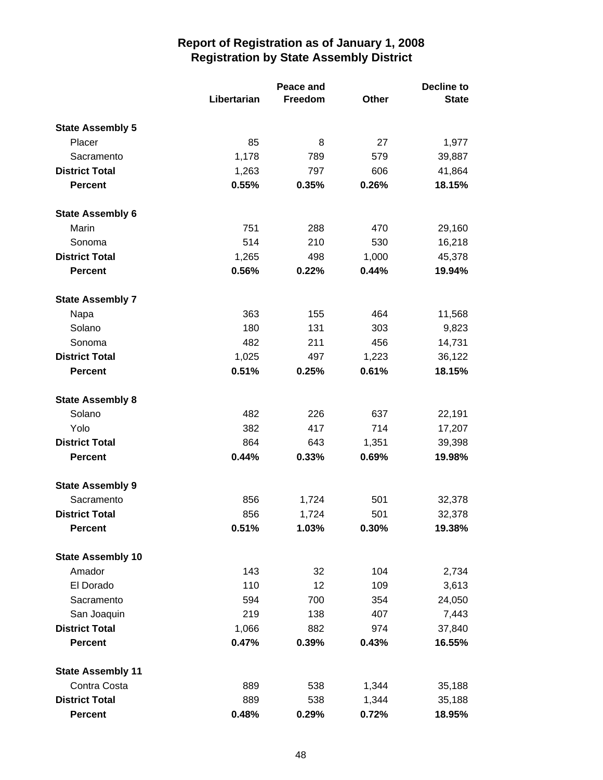|                          | Libertarian | <b>Peace and</b><br>Freedom | Other | <b>Decline to</b><br><b>State</b> |
|--------------------------|-------------|-----------------------------|-------|-----------------------------------|
| <b>State Assembly 5</b>  |             |                             |       |                                   |
| Placer                   | 85          | 8                           | 27    | 1,977                             |
| Sacramento               | 1,178       | 789                         | 579   | 39,887                            |
| <b>District Total</b>    | 1,263       | 797                         | 606   | 41,864                            |
| <b>Percent</b>           | 0.55%       | 0.35%                       | 0.26% | 18.15%                            |
| <b>State Assembly 6</b>  |             |                             |       |                                   |
| Marin                    | 751         | 288                         | 470   | 29,160                            |
| Sonoma                   | 514         | 210                         | 530   | 16,218                            |
| <b>District Total</b>    | 1,265       | 498                         | 1,000 | 45,378                            |
| <b>Percent</b>           | 0.56%       | 0.22%                       | 0.44% | 19.94%                            |
| <b>State Assembly 7</b>  |             |                             |       |                                   |
| Napa                     | 363         | 155                         | 464   | 11,568                            |
| Solano                   | 180         | 131                         | 303   | 9,823                             |
| Sonoma                   | 482         | 211                         | 456   | 14,731                            |
| <b>District Total</b>    | 1,025       | 497                         | 1,223 | 36,122                            |
| <b>Percent</b>           | 0.51%       | 0.25%                       | 0.61% | 18.15%                            |
| <b>State Assembly 8</b>  |             |                             |       |                                   |
| Solano                   | 482         | 226                         | 637   | 22,191                            |
| Yolo                     | 382         | 417                         | 714   | 17,207                            |
| <b>District Total</b>    | 864         | 643                         | 1,351 | 39,398                            |
| <b>Percent</b>           | 0.44%       | 0.33%                       | 0.69% | 19.98%                            |
| <b>State Assembly 9</b>  |             |                             |       |                                   |
| Sacramento               | 856         | 1,724                       | 501   | 32,378                            |
| <b>District Total</b>    | 856         | 1,724                       | 501   | 32,378                            |
| <b>Percent</b>           | 0.51%       | 1.03%                       | 0.30% | 19.38%                            |
| <b>State Assembly 10</b> |             |                             |       |                                   |
| Amador                   | 143         | 32                          | 104   | 2,734                             |
| El Dorado                | 110         | 12                          | 109   | 3,613                             |
| Sacramento               | 594         | 700                         | 354   | 24,050                            |
| San Joaquin              | 219         | 138                         | 407   | 7,443                             |
| <b>District Total</b>    | 1,066       | 882                         | 974   | 37,840                            |
| <b>Percent</b>           | 0.47%       | 0.39%                       | 0.43% | 16.55%                            |
| <b>State Assembly 11</b> |             |                             |       |                                   |
| Contra Costa             | 889         | 538                         | 1,344 | 35,188                            |
| <b>District Total</b>    | 889         | 538                         | 1,344 | 35,188                            |
| <b>Percent</b>           | 0.48%       | 0.29%                       | 0.72% | 18.95%                            |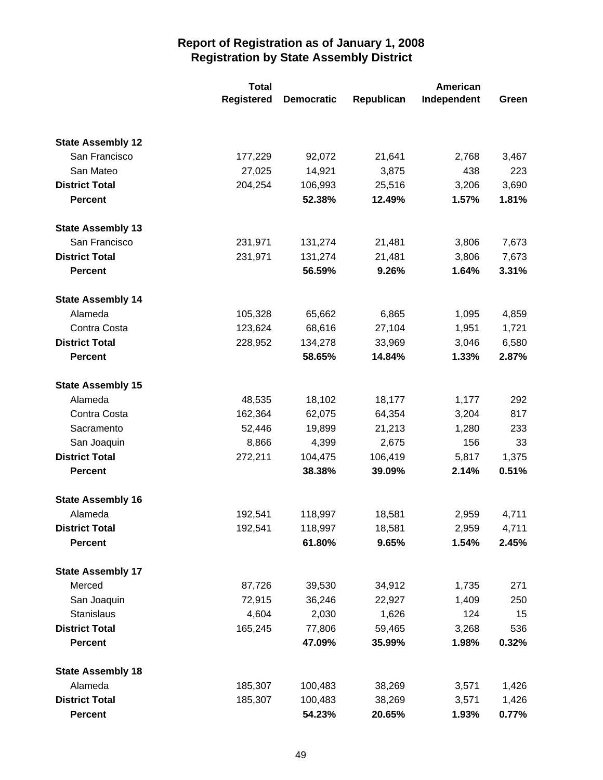|                          | <b>Total</b>      |                   |            | American    |       |
|--------------------------|-------------------|-------------------|------------|-------------|-------|
|                          | <b>Registered</b> | <b>Democratic</b> | Republican | Independent | Green |
|                          |                   |                   |            |             |       |
| <b>State Assembly 12</b> |                   |                   |            |             |       |
| San Francisco            | 177,229           | 92,072            | 21,641     | 2,768       | 3,467 |
| San Mateo                | 27,025            | 14,921            | 3,875      | 438         | 223   |
| <b>District Total</b>    | 204,254           | 106,993           | 25,516     | 3,206       | 3,690 |
| <b>Percent</b>           |                   | 52.38%            | 12.49%     | 1.57%       | 1.81% |
| <b>State Assembly 13</b> |                   |                   |            |             |       |
| San Francisco            | 231,971           | 131,274           | 21,481     | 3,806       | 7,673 |
| <b>District Total</b>    | 231,971           | 131,274           | 21,481     | 3,806       | 7,673 |
| <b>Percent</b>           |                   | 56.59%            | 9.26%      | 1.64%       | 3.31% |
| <b>State Assembly 14</b> |                   |                   |            |             |       |
| Alameda                  | 105,328           | 65,662            | 6,865      | 1,095       | 4,859 |
| Contra Costa             | 123,624           | 68,616            | 27,104     | 1,951       | 1,721 |
| <b>District Total</b>    | 228,952           | 134,278           | 33,969     | 3,046       | 6,580 |
| <b>Percent</b>           |                   | 58.65%            | 14.84%     | 1.33%       | 2.87% |
| <b>State Assembly 15</b> |                   |                   |            |             |       |
| Alameda                  | 48,535            | 18,102            | 18,177     | 1,177       | 292   |
| Contra Costa             | 162,364           | 62,075            | 64,354     | 3,204       | 817   |
| Sacramento               | 52,446            | 19,899            | 21,213     | 1,280       | 233   |
| San Joaquin              | 8,866             | 4,399             | 2,675      | 156         | 33    |
| <b>District Total</b>    | 272,211           | 104,475           | 106,419    | 5,817       | 1,375 |
| <b>Percent</b>           |                   | 38.38%            | 39.09%     | 2.14%       | 0.51% |
| <b>State Assembly 16</b> |                   |                   |            |             |       |
| Alameda                  | 192,541           | 118,997           | 18,581     | 2,959       | 4,711 |
| <b>District Total</b>    | 192,541           | 118,997           | 18,581     | 2,959       | 4,711 |
| <b>Percent</b>           |                   | 61.80%            | 9.65%      | 1.54%       | 2.45% |
| <b>State Assembly 17</b> |                   |                   |            |             |       |
| Merced                   | 87,726            | 39,530            | 34,912     | 1,735       | 271   |
| San Joaquin              | 72,915            | 36,246            | 22,927     | 1,409       | 250   |
| Stanislaus               | 4,604             | 2,030             | 1,626      | 124         | 15    |
| <b>District Total</b>    | 165,245           | 77,806            | 59,465     | 3,268       | 536   |
| <b>Percent</b>           |                   | 47.09%            | 35.99%     | 1.98%       | 0.32% |
| <b>State Assembly 18</b> |                   |                   |            |             |       |
| Alameda                  | 185,307           | 100,483           | 38,269     | 3,571       | 1,426 |
| <b>District Total</b>    | 185,307           | 100,483           | 38,269     | 3,571       | 1,426 |
| <b>Percent</b>           |                   | 54.23%            | 20.65%     | 1.93%       | 0.77% |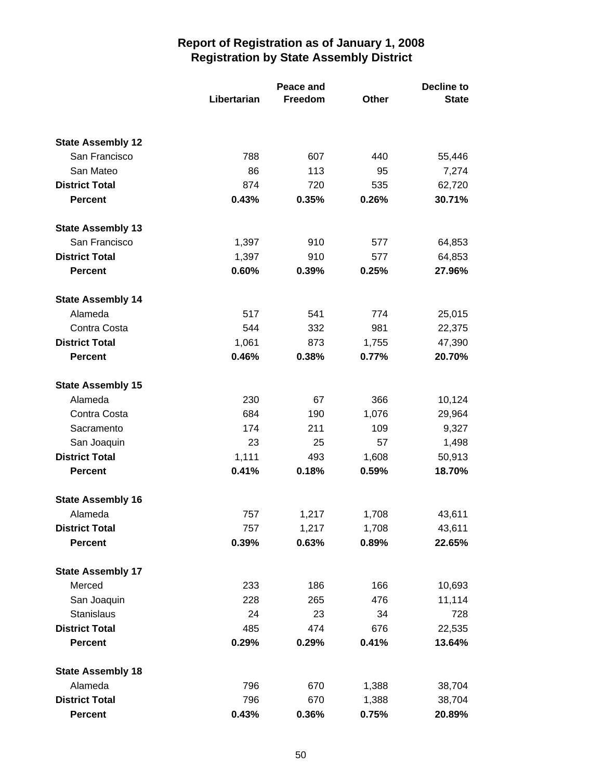|                          | Libertarian | Peace and<br>Freedom | Other | <b>Decline to</b><br><b>State</b> |
|--------------------------|-------------|----------------------|-------|-----------------------------------|
|                          |             |                      |       |                                   |
| <b>State Assembly 12</b> |             |                      |       |                                   |
| San Francisco            | 788         | 607                  | 440   | 55,446                            |
| San Mateo                | 86          | 113                  | 95    | 7,274                             |
| <b>District Total</b>    | 874         | 720                  | 535   | 62,720                            |
| <b>Percent</b>           | 0.43%       | 0.35%                | 0.26% | 30.71%                            |
| <b>State Assembly 13</b> |             |                      |       |                                   |
| San Francisco            | 1,397       | 910                  | 577   | 64,853                            |
| <b>District Total</b>    | 1,397       | 910                  | 577   | 64,853                            |
| <b>Percent</b>           | 0.60%       | 0.39%                | 0.25% | 27.96%                            |
| <b>State Assembly 14</b> |             |                      |       |                                   |
| Alameda                  | 517         | 541                  | 774   | 25,015                            |
| Contra Costa             | 544         | 332                  | 981   | 22,375                            |
| <b>District Total</b>    | 1,061       | 873                  | 1,755 | 47,390                            |
| <b>Percent</b>           | 0.46%       | 0.38%                | 0.77% | 20.70%                            |
| <b>State Assembly 15</b> |             |                      |       |                                   |
| Alameda                  | 230         | 67                   | 366   | 10,124                            |
| Contra Costa             | 684         | 190                  | 1,076 | 29,964                            |
| Sacramento               | 174         | 211                  | 109   | 9,327                             |
| San Joaquin              | 23          | 25                   | 57    | 1,498                             |
| <b>District Total</b>    | 1,111       | 493                  | 1,608 | 50,913                            |
| <b>Percent</b>           | 0.41%       | 0.18%                | 0.59% | 18.70%                            |
| <b>State Assembly 16</b> |             |                      |       |                                   |
| Alameda                  | 757         | 1,217                | 1,708 | 43,611                            |
| <b>District Total</b>    | 757         | 1,217                | 1,708 | 43,611                            |
| <b>Percent</b>           | 0.39%       | 0.63%                | 0.89% | 22.65%                            |
| <b>State Assembly 17</b> |             |                      |       |                                   |
| Merced                   | 233         | 186                  | 166   | 10,693                            |
| San Joaquin              | 228         | 265                  | 476   | 11,114                            |
| Stanislaus               | 24          | 23                   | 34    | 728                               |
| <b>District Total</b>    | 485         | 474                  | 676   | 22,535                            |
| <b>Percent</b>           | 0.29%       | 0.29%                | 0.41% | 13.64%                            |
| <b>State Assembly 18</b> |             |                      |       |                                   |
| Alameda                  | 796         | 670                  | 1,388 | 38,704                            |
| <b>District Total</b>    | 796         | 670                  | 1,388 | 38,704                            |
| <b>Percent</b>           | 0.43%       | 0.36%                | 0.75% | 20.89%                            |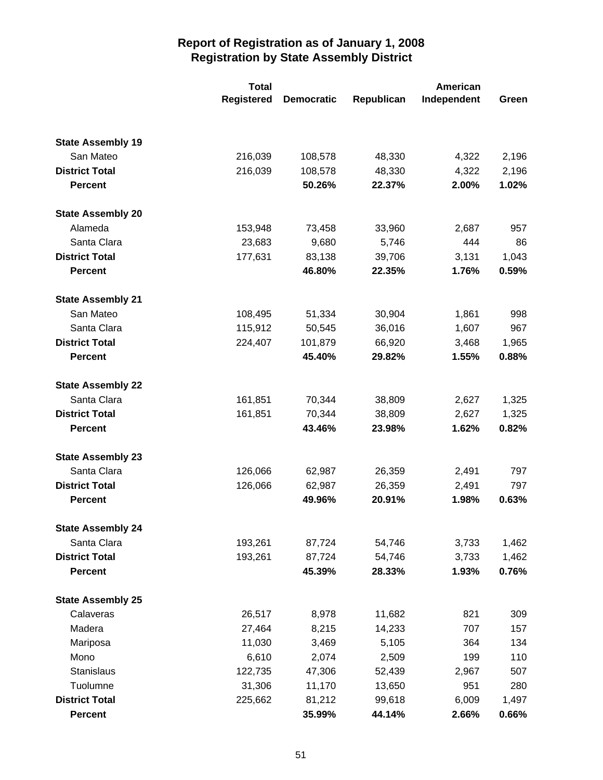|                          | <b>Total</b>      |                   |            | <b>American</b> |       |
|--------------------------|-------------------|-------------------|------------|-----------------|-------|
|                          | <b>Registered</b> | <b>Democratic</b> | Republican | Independent     | Green |
|                          |                   |                   |            |                 |       |
| <b>State Assembly 19</b> |                   |                   |            |                 |       |
| San Mateo                | 216,039           | 108,578           | 48,330     | 4,322           | 2,196 |
| <b>District Total</b>    | 216,039           | 108,578           | 48,330     | 4,322           | 2,196 |
| <b>Percent</b>           |                   | 50.26%            | 22.37%     | 2.00%           | 1.02% |
| <b>State Assembly 20</b> |                   |                   |            |                 |       |
| Alameda                  | 153,948           | 73,458            | 33,960     | 2,687           | 957   |
| Santa Clara              | 23,683            | 9,680             | 5,746      | 444             | 86    |
| <b>District Total</b>    | 177,631           | 83,138            | 39,706     | 3,131           | 1,043 |
| <b>Percent</b>           |                   | 46.80%            | 22.35%     | 1.76%           | 0.59% |
| <b>State Assembly 21</b> |                   |                   |            |                 |       |
| San Mateo                | 108,495           | 51,334            | 30,904     | 1,861           | 998   |
| Santa Clara              | 115,912           | 50,545            | 36,016     | 1,607           | 967   |
| <b>District Total</b>    | 224,407           | 101,879           | 66,920     | 3,468           | 1,965 |
| <b>Percent</b>           |                   | 45.40%            | 29.82%     | 1.55%           | 0.88% |
| <b>State Assembly 22</b> |                   |                   |            |                 |       |
| Santa Clara              | 161,851           | 70,344            | 38,809     | 2,627           | 1,325 |
| <b>District Total</b>    | 161,851           | 70,344            | 38,809     | 2,627           | 1,325 |
| <b>Percent</b>           |                   | 43.46%            | 23.98%     | 1.62%           | 0.82% |
| <b>State Assembly 23</b> |                   |                   |            |                 |       |
| Santa Clara              | 126,066           | 62,987            | 26,359     | 2,491           | 797   |
| <b>District Total</b>    | 126,066           | 62,987            | 26,359     | 2,491           | 797   |
| <b>Percent</b>           |                   | 49.96%            | 20.91%     | 1.98%           | 0.63% |
| <b>State Assembly 24</b> |                   |                   |            |                 |       |
| Santa Clara              | 193,261           | 87,724            | 54,746     | 3,733           | 1,462 |
| <b>District Total</b>    | 193,261           | 87,724            | 54,746     | 3,733           | 1,462 |
| <b>Percent</b>           |                   | 45.39%            | 28.33%     | 1.93%           | 0.76% |
| <b>State Assembly 25</b> |                   |                   |            |                 |       |
| Calaveras                | 26,517            | 8,978             | 11,682     | 821             | 309   |
| Madera                   | 27,464            | 8,215             | 14,233     | 707             | 157   |
| Mariposa                 | 11,030            | 3,469             | 5,105      | 364             | 134   |
| Mono                     | 6,610             | 2,074             | 2,509      | 199             | 110   |
| <b>Stanislaus</b>        | 122,735           | 47,306            | 52,439     | 2,967           | 507   |
| Tuolumne                 | 31,306            | 11,170            | 13,650     | 951             | 280   |
| <b>District Total</b>    | 225,662           | 81,212            | 99,618     | 6,009           | 1,497 |
| <b>Percent</b>           |                   | 35.99%            | 44.14%     | 2.66%           | 0.66% |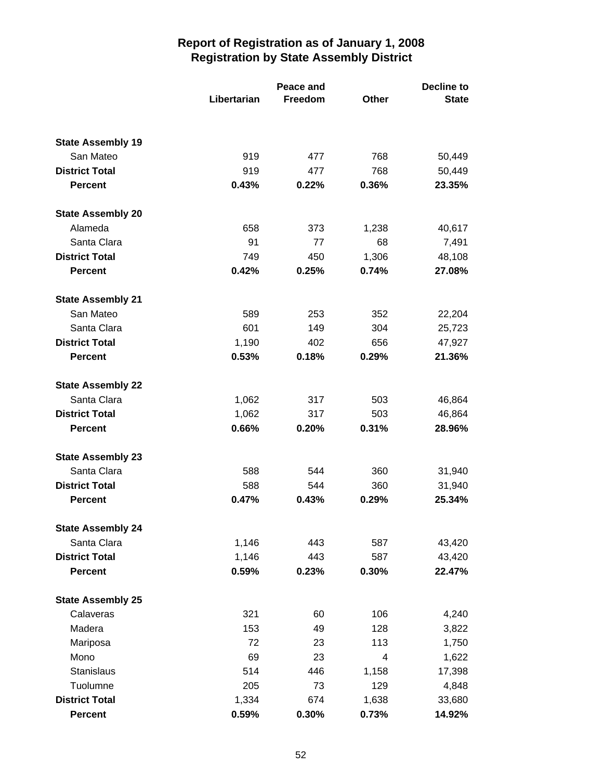|                          | Libertarian | Peace and<br>Freedom | <b>Other</b> | <b>Decline to</b><br><b>State</b> |
|--------------------------|-------------|----------------------|--------------|-----------------------------------|
|                          |             |                      |              |                                   |
| <b>State Assembly 19</b> |             |                      |              |                                   |
| San Mateo                | 919         | 477                  | 768          | 50,449                            |
| <b>District Total</b>    | 919         | 477                  | 768          | 50,449                            |
| <b>Percent</b>           | 0.43%       | 0.22%                | 0.36%        | 23.35%                            |
| <b>State Assembly 20</b> |             |                      |              |                                   |
| Alameda                  | 658         | 373                  | 1,238        | 40,617                            |
| Santa Clara              | 91          | 77                   | 68           | 7,491                             |
| <b>District Total</b>    | 749         | 450                  | 1,306        | 48,108                            |
| <b>Percent</b>           | 0.42%       | 0.25%                | 0.74%        | 27.08%                            |
| <b>State Assembly 21</b> |             |                      |              |                                   |
| San Mateo                | 589         | 253                  | 352          | 22,204                            |
| Santa Clara              | 601         | 149                  | 304          | 25,723                            |
| <b>District Total</b>    | 1,190       | 402                  | 656          | 47,927                            |
| <b>Percent</b>           | 0.53%       | 0.18%                | 0.29%        | 21.36%                            |
| <b>State Assembly 22</b> |             |                      |              |                                   |
| Santa Clara              | 1,062       | 317                  | 503          | 46,864                            |
| <b>District Total</b>    | 1,062       | 317                  | 503          | 46,864                            |
| <b>Percent</b>           | 0.66%       | 0.20%                | 0.31%        | 28.96%                            |
| <b>State Assembly 23</b> |             |                      |              |                                   |
| Santa Clara              | 588         | 544                  | 360          | 31,940                            |
| <b>District Total</b>    | 588         | 544                  | 360          | 31,940                            |
| <b>Percent</b>           | 0.47%       | 0.43%                | 0.29%        | 25.34%                            |
| <b>State Assembly 24</b> |             |                      |              |                                   |
| Santa Clara              | 1,146       | 443                  | 587          | 43,420                            |
| <b>District Total</b>    | 1,146       | 443                  | 587          | 43,420                            |
| <b>Percent</b>           | 0.59%       | 0.23%                | 0.30%        | 22.47%                            |
| <b>State Assembly 25</b> |             |                      |              |                                   |
| Calaveras                | 321         | 60                   | 106          | 4,240                             |
| Madera                   | 153         | 49                   | 128          | 3,822                             |
| Mariposa                 | 72          | 23                   | 113          | 1,750                             |
| Mono                     | 69          | 23                   | 4            | 1,622                             |
| <b>Stanislaus</b>        | 514         | 446                  | 1,158        | 17,398                            |
| Tuolumne                 | 205         | 73                   | 129          | 4,848                             |
| <b>District Total</b>    | 1,334       | 674                  | 1,638        | 33,680                            |
| <b>Percent</b>           | 0.59%       | 0.30%                | 0.73%        | 14.92%                            |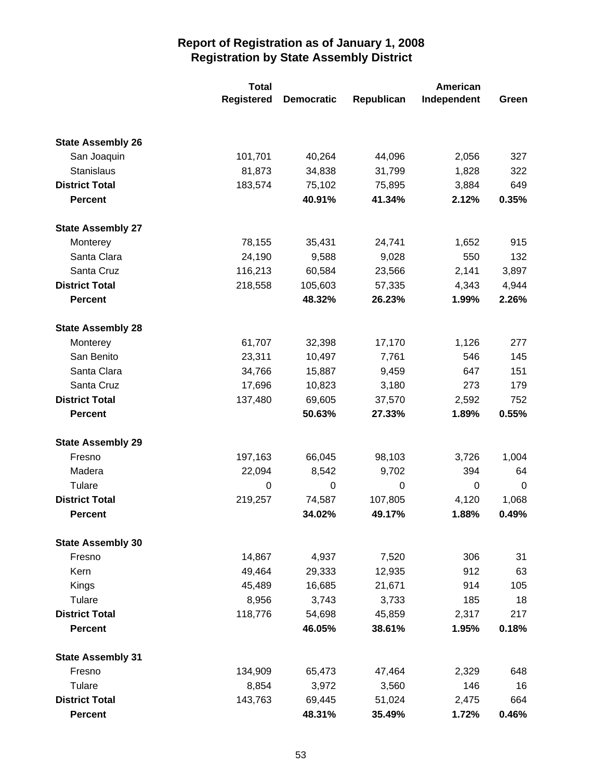|                          | <b>Total</b>      |                   |            | American    |             |
|--------------------------|-------------------|-------------------|------------|-------------|-------------|
|                          | <b>Registered</b> | <b>Democratic</b> | Republican | Independent | Green       |
|                          |                   |                   |            |             |             |
| <b>State Assembly 26</b> |                   |                   |            |             |             |
| San Joaquin              | 101,701           | 40,264            | 44,096     | 2,056       | 327         |
| Stanislaus               | 81,873            | 34,838            | 31,799     | 1,828       | 322         |
| <b>District Total</b>    | 183,574           | 75,102            | 75,895     | 3,884       | 649         |
| <b>Percent</b>           |                   | 40.91%            | 41.34%     | 2.12%       | 0.35%       |
| <b>State Assembly 27</b> |                   |                   |            |             |             |
| Monterey                 | 78,155            | 35,431            | 24,741     | 1,652       | 915         |
| Santa Clara              | 24,190            | 9,588             | 9,028      | 550         | 132         |
| Santa Cruz               | 116,213           | 60,584            | 23,566     | 2,141       | 3,897       |
| <b>District Total</b>    | 218,558           | 105,603           | 57,335     | 4,343       | 4,944       |
| <b>Percent</b>           |                   | 48.32%            | 26.23%     | 1.99%       | 2.26%       |
| <b>State Assembly 28</b> |                   |                   |            |             |             |
| Monterey                 | 61,707            | 32,398            | 17,170     | 1,126       | 277         |
| San Benito               | 23,311            | 10,497            | 7,761      | 546         | 145         |
| Santa Clara              | 34,766            | 15,887            | 9,459      | 647         | 151         |
| Santa Cruz               | 17,696            | 10,823            | 3,180      | 273         | 179         |
| <b>District Total</b>    | 137,480           | 69,605            | 37,570     | 2,592       | 752         |
| <b>Percent</b>           |                   | 50.63%            | 27.33%     | 1.89%       | 0.55%       |
| <b>State Assembly 29</b> |                   |                   |            |             |             |
| Fresno                   | 197,163           | 66,045            | 98,103     | 3,726       | 1,004       |
| Madera                   | 22,094            | 8,542             | 9,702      | 394         | 64          |
| Tulare                   | 0                 | $\mathbf 0$       | 0          | 0           | $\mathbf 0$ |
| <b>District Total</b>    | 219,257           | 74,587            | 107,805    | 4,120       | 1,068       |
| <b>Percent</b>           |                   | 34.02%            | 49.17%     | 1.88%       | 0.49%       |
| <b>State Assembly 30</b> |                   |                   |            |             |             |
| Fresno                   | 14,867            | 4,937             | 7,520      | 306         | 31          |
| Kern                     | 49,464            | 29,333            | 12,935     | 912         | 63          |
| Kings                    | 45,489            | 16,685            | 21,671     | 914         | 105         |
| Tulare                   | 8,956             | 3,743             | 3,733      | 185         | 18          |
| <b>District Total</b>    | 118,776           | 54,698            | 45,859     | 2,317       | 217         |
| <b>Percent</b>           |                   | 46.05%            | 38.61%     | 1.95%       | 0.18%       |
| <b>State Assembly 31</b> |                   |                   |            |             |             |
| Fresno                   | 134,909           | 65,473            | 47,464     | 2,329       | 648         |
| Tulare                   | 8,854             | 3,972             | 3,560      | 146         | 16          |
| <b>District Total</b>    | 143,763           | 69,445            | 51,024     | 2,475       | 664         |
| <b>Percent</b>           |                   | 48.31%            | 35.49%     | 1.72%       | 0.46%       |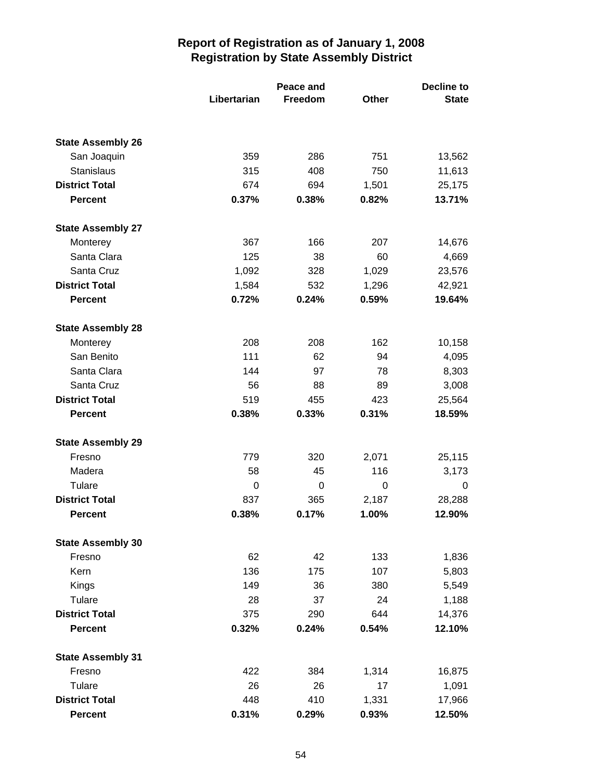|                          |             | Peace and |       | <b>Decline to</b> |  |
|--------------------------|-------------|-----------|-------|-------------------|--|
|                          | Libertarian | Freedom   | Other | <b>State</b>      |  |
|                          |             |           |       |                   |  |
| <b>State Assembly 26</b> |             |           |       |                   |  |
| San Joaquin              | 359         | 286       | 751   | 13,562            |  |
| Stanislaus               | 315         | 408       | 750   | 11,613            |  |
| <b>District Total</b>    | 674         | 694       | 1,501 | 25,175            |  |
| <b>Percent</b>           | 0.37%       | 0.38%     | 0.82% | 13.71%            |  |
| <b>State Assembly 27</b> |             |           |       |                   |  |
| Monterey                 | 367         | 166       | 207   | 14,676            |  |
| Santa Clara              | 125         | 38        | 60    | 4,669             |  |
| Santa Cruz               | 1,092       | 328       | 1,029 | 23,576            |  |
| <b>District Total</b>    | 1,584       | 532       | 1,296 | 42,921            |  |
| <b>Percent</b>           | 0.72%       | 0.24%     | 0.59% | 19.64%            |  |
| <b>State Assembly 28</b> |             |           |       |                   |  |
| Monterey                 | 208         | 208       | 162   | 10,158            |  |
| San Benito               | 111         | 62        | 94    | 4,095             |  |
| Santa Clara              | 144         | 97        | 78    | 8,303             |  |
| Santa Cruz               | 56          | 88        | 89    | 3,008             |  |
| <b>District Total</b>    | 519         | 455       | 423   | 25,564            |  |
| <b>Percent</b>           | 0.38%       | 0.33%     | 0.31% | 18.59%            |  |
| <b>State Assembly 29</b> |             |           |       |                   |  |
| Fresno                   | 779         | 320       | 2,071 | 25,115            |  |
| Madera                   | 58          | 45        | 116   | 3,173             |  |
| Tulare                   | 0           | 0         | 0     | 0                 |  |
| <b>District Total</b>    | 837         | 365       | 2,187 | 28,288            |  |
| <b>Percent</b>           | 0.38%       | 0.17%     | 1.00% | 12.90%            |  |
| <b>State Assembly 30</b> |             |           |       |                   |  |
| Fresno                   | 62          | 42        | 133   | 1,836             |  |
| Kern                     | 136         | 175       | 107   | 5,803             |  |
| Kings                    | 149         | 36        | 380   | 5,549             |  |
| Tulare                   | 28          | 37        | 24    | 1,188             |  |
| <b>District Total</b>    | 375         | 290       | 644   | 14,376            |  |
| <b>Percent</b>           | 0.32%       | 0.24%     | 0.54% | 12.10%            |  |
| <b>State Assembly 31</b> |             |           |       |                   |  |
| Fresno                   | 422         | 384       | 1,314 | 16,875            |  |
| Tulare                   | 26          | 26        | 17    | 1,091             |  |
| <b>District Total</b>    | 448         | 410       | 1,331 | 17,966            |  |
| <b>Percent</b>           | 0.31%       | 0.29%     | 0.93% | 12.50%            |  |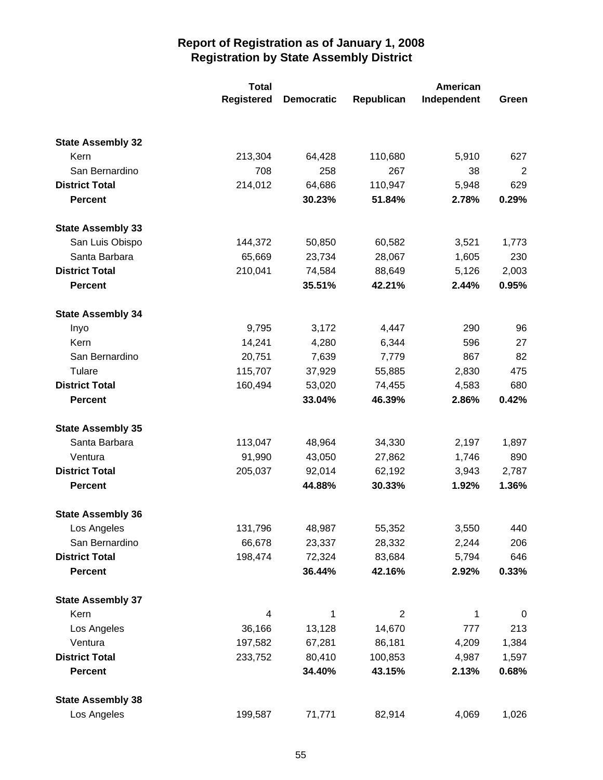|                                  | <b>Total</b><br><b>Registered</b> | <b>Democratic</b> | Republican     | <b>American</b><br>Independent | Green |
|----------------------------------|-----------------------------------|-------------------|----------------|--------------------------------|-------|
|                                  |                                   |                   |                |                                |       |
| <b>State Assembly 32</b><br>Kern | 213,304                           | 64,428            | 110,680        | 5,910                          | 627   |
| San Bernardino                   | 708                               | 258               | 267            | 38                             | 2     |
| <b>District Total</b>            | 214,012                           | 64,686            | 110,947        | 5,948                          | 629   |
| <b>Percent</b>                   |                                   | 30.23%            | 51.84%         | 2.78%                          | 0.29% |
| <b>State Assembly 33</b>         |                                   |                   |                |                                |       |
| San Luis Obispo                  | 144,372                           | 50,850            | 60,582         | 3,521                          | 1,773 |
| Santa Barbara                    | 65,669                            | 23,734            | 28,067         | 1,605                          | 230   |
| <b>District Total</b>            | 210,041                           | 74,584            | 88,649         | 5,126                          | 2,003 |
| <b>Percent</b>                   |                                   | 35.51%            | 42.21%         | 2.44%                          | 0.95% |
| <b>State Assembly 34</b>         |                                   |                   |                |                                |       |
| Inyo                             | 9,795                             | 3,172             | 4,447          | 290                            | 96    |
| Kern                             | 14,241                            | 4,280             | 6,344          | 596                            | 27    |
| San Bernardino                   | 20,751                            | 7,639             | 7,779          | 867                            | 82    |
| Tulare                           | 115,707                           | 37,929            | 55,885         | 2,830                          | 475   |
| <b>District Total</b>            | 160,494                           | 53,020            | 74,455         | 4,583                          | 680   |
| <b>Percent</b>                   |                                   | 33.04%            | 46.39%         | 2.86%                          | 0.42% |
| <b>State Assembly 35</b>         |                                   |                   |                |                                |       |
| Santa Barbara                    | 113,047                           | 48,964            | 34,330         | 2,197                          | 1,897 |
| Ventura                          | 91,990                            | 43,050            | 27,862         | 1,746                          | 890   |
| <b>District Total</b>            | 205,037                           | 92,014            | 62,192         | 3,943                          | 2,787 |
| <b>Percent</b>                   |                                   | 44.88%            | 30.33%         | 1.92%                          | 1.36% |
| <b>State Assembly 36</b>         |                                   |                   |                |                                |       |
| Los Angeles                      | 131,796                           | 48,987            | 55,352         | 3,550                          | 440   |
| San Bernardino                   | 66,678                            | 23,337            | 28,332         | 2,244                          | 206   |
| <b>District Total</b>            | 198,474                           | 72,324            | 83,684         | 5,794                          | 646   |
| <b>Percent</b>                   |                                   | 36.44%            | 42.16%         | 2.92%                          | 0.33% |
| <b>State Assembly 37</b>         |                                   |                   |                |                                |       |
| Kern                             | $\overline{4}$                    | 1                 | $\overline{2}$ | 1                              | 0     |
| Los Angeles                      | 36,166                            | 13,128            | 14,670         | 777                            | 213   |
| Ventura                          | 197,582                           | 67,281            | 86,181         | 4,209                          | 1,384 |
| <b>District Total</b>            | 233,752                           | 80,410            | 100,853        | 4,987                          | 1,597 |
| <b>Percent</b>                   |                                   | 34.40%            | 43.15%         | 2.13%                          | 0.68% |
| <b>State Assembly 38</b>         |                                   |                   |                |                                |       |
| Los Angeles                      | 199,587                           | 71,771            | 82,914         | 4,069                          | 1,026 |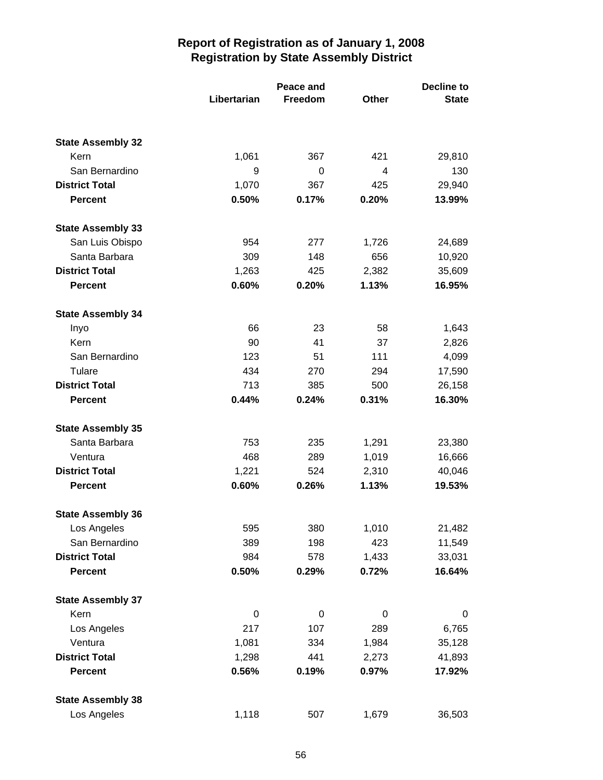|                          | Libertarian | Peace and<br>Freedom | Other | <b>Decline to</b><br><b>State</b> |
|--------------------------|-------------|----------------------|-------|-----------------------------------|
|                          |             |                      |       |                                   |
| <b>State Assembly 32</b> |             |                      |       |                                   |
| Kern                     | 1,061       | 367                  | 421   | 29,810                            |
| San Bernardino           | 9           | 0                    | 4     | 130                               |
| <b>District Total</b>    | 1,070       | 367                  | 425   | 29,940                            |
| <b>Percent</b>           | 0.50%       | 0.17%                | 0.20% | 13.99%                            |
| <b>State Assembly 33</b> |             |                      |       |                                   |
| San Luis Obispo          | 954         | 277                  | 1,726 | 24,689                            |
| Santa Barbara            | 309         | 148                  | 656   | 10,920                            |
| <b>District Total</b>    | 1,263       | 425                  | 2,382 | 35,609                            |
| <b>Percent</b>           | 0.60%       | 0.20%                | 1.13% | 16.95%                            |
| <b>State Assembly 34</b> |             |                      |       |                                   |
| Inyo                     | 66          | 23                   | 58    | 1,643                             |
| Kern                     | 90          | 41                   | 37    | 2,826                             |
| San Bernardino           | 123         | 51                   | 111   | 4,099                             |
| Tulare                   | 434         | 270                  | 294   | 17,590                            |
| <b>District Total</b>    | 713         | 385                  | 500   | 26,158                            |
| <b>Percent</b>           | 0.44%       | 0.24%                | 0.31% | 16.30%                            |
| <b>State Assembly 35</b> |             |                      |       |                                   |
| Santa Barbara            | 753         | 235                  | 1,291 | 23,380                            |
| Ventura                  | 468         | 289                  | 1,019 | 16,666                            |
| <b>District Total</b>    | 1,221       | 524                  | 2,310 | 40,046                            |
| <b>Percent</b>           | 0.60%       | 0.26%                | 1.13% | 19.53%                            |
| <b>State Assembly 36</b> |             |                      |       |                                   |
| Los Angeles              | 595         | 380                  | 1,010 | 21,482                            |
| San Bernardino           | 389         | 198                  | 423   | 11,549                            |
| <b>District Total</b>    | 984         | 578                  | 1,433 | 33,031                            |
| <b>Percent</b>           | 0.50%       | 0.29%                | 0.72% | 16.64%                            |
| <b>State Assembly 37</b> |             |                      |       |                                   |
| Kern                     | $\mathbf 0$ | 0                    | 0     | 0                                 |
| Los Angeles              | 217         | 107                  | 289   | 6,765                             |
| Ventura                  | 1,081       | 334                  | 1,984 | 35,128                            |
| <b>District Total</b>    | 1,298       | 441                  | 2,273 | 41,893                            |
| <b>Percent</b>           | 0.56%       | 0.19%                | 0.97% | 17.92%                            |
| <b>State Assembly 38</b> |             |                      |       |                                   |
| Los Angeles              | 1,118       | 507                  | 1,679 | 36,503                            |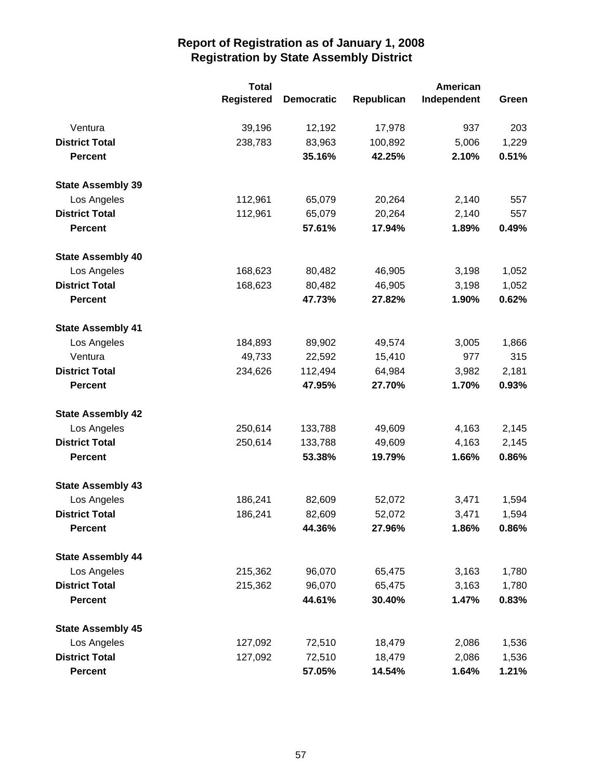|                          | <b>Total</b> |                   |            | American    |       |
|--------------------------|--------------|-------------------|------------|-------------|-------|
|                          | Registered   | <b>Democratic</b> | Republican | Independent | Green |
| Ventura                  | 39,196       | 12,192            | 17,978     | 937         | 203   |
| <b>District Total</b>    | 238,783      | 83,963            | 100,892    | 5,006       | 1,229 |
| <b>Percent</b>           |              | 35.16%            | 42.25%     | 2.10%       | 0.51% |
| <b>State Assembly 39</b> |              |                   |            |             |       |
| Los Angeles              | 112,961      | 65,079            | 20,264     | 2,140       | 557   |
| <b>District Total</b>    | 112,961      | 65,079            | 20,264     | 2,140       | 557   |
| <b>Percent</b>           |              | 57.61%            | 17.94%     | 1.89%       | 0.49% |
| <b>State Assembly 40</b> |              |                   |            |             |       |
| Los Angeles              | 168,623      | 80,482            | 46,905     | 3,198       | 1,052 |
| <b>District Total</b>    | 168,623      | 80,482            | 46,905     | 3,198       | 1,052 |
| <b>Percent</b>           |              | 47.73%            | 27.82%     | 1.90%       | 0.62% |
| <b>State Assembly 41</b> |              |                   |            |             |       |
| Los Angeles              | 184,893      | 89,902            | 49,574     | 3,005       | 1,866 |
| Ventura                  | 49,733       | 22,592            | 15,410     | 977         | 315   |
| <b>District Total</b>    | 234,626      | 112,494           | 64,984     | 3,982       | 2,181 |
| <b>Percent</b>           |              | 47.95%            | 27.70%     | 1.70%       | 0.93% |
| <b>State Assembly 42</b> |              |                   |            |             |       |
| Los Angeles              | 250,614      | 133,788           | 49,609     | 4,163       | 2,145 |
| <b>District Total</b>    | 250,614      | 133,788           | 49,609     | 4,163       | 2,145 |
| <b>Percent</b>           |              | 53.38%            | 19.79%     | 1.66%       | 0.86% |
| <b>State Assembly 43</b> |              |                   |            |             |       |
| Los Angeles              | 186,241      | 82,609            | 52,072     | 3,471       | 1,594 |
| <b>District Total</b>    | 186,241      | 82,609            | 52,072     | 3,471       | 1,594 |
| <b>Percent</b>           |              | 44.36%            | 27.96%     | 1.86%       | 0.86% |
| <b>State Assembly 44</b> |              |                   |            |             |       |
| Los Angeles              | 215,362      | 96,070            | 65,475     | 3,163       | 1,780 |
| <b>District Total</b>    | 215,362      | 96,070            | 65,475     | 3,163       | 1,780 |
| <b>Percent</b>           |              | 44.61%            | 30.40%     | 1.47%       | 0.83% |
| <b>State Assembly 45</b> |              |                   |            |             |       |
| Los Angeles              | 127,092      | 72,510            | 18,479     | 2,086       | 1,536 |
| <b>District Total</b>    | 127,092      | 72,510            | 18,479     | 2,086       | 1,536 |
| <b>Percent</b>           |              | 57.05%            | 14.54%     | 1.64%       | 1.21% |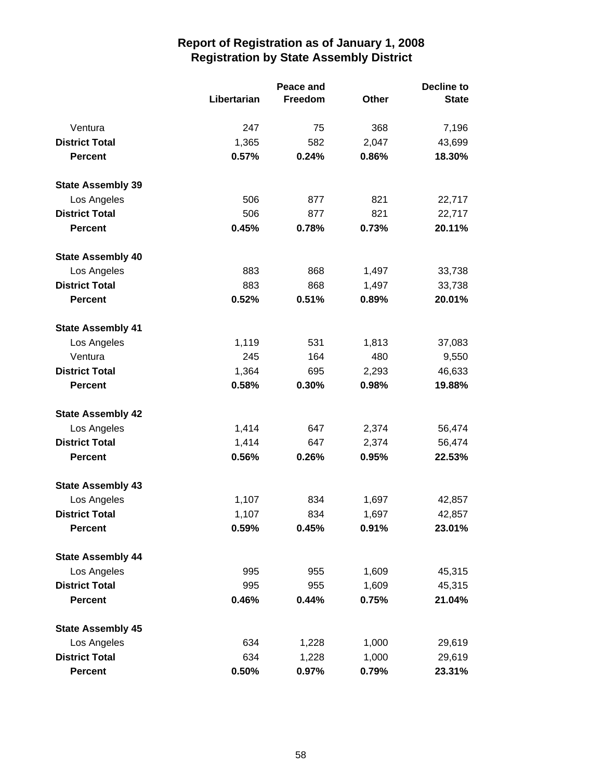|                          |             | Peace and |              | <b>Decline to</b> |  |
|--------------------------|-------------|-----------|--------------|-------------------|--|
|                          | Libertarian | Freedom   | <b>Other</b> | <b>State</b>      |  |
| Ventura                  | 247         | 75        | 368          | 7,196             |  |
| <b>District Total</b>    | 1,365       | 582       | 2,047        | 43,699            |  |
| <b>Percent</b>           | 0.57%       | 0.24%     | 0.86%        | 18.30%            |  |
| <b>State Assembly 39</b> |             |           |              |                   |  |
| Los Angeles              | 506         | 877       | 821          | 22,717            |  |
| <b>District Total</b>    | 506         | 877       | 821          | 22,717            |  |
| <b>Percent</b>           | 0.45%       | 0.78%     | 0.73%        | 20.11%            |  |
| <b>State Assembly 40</b> |             |           |              |                   |  |
| Los Angeles              | 883         | 868       | 1,497        | 33,738            |  |
| <b>District Total</b>    | 883         | 868       | 1,497        | 33,738            |  |
| <b>Percent</b>           | 0.52%       | 0.51%     | 0.89%        | 20.01%            |  |
| <b>State Assembly 41</b> |             |           |              |                   |  |
| Los Angeles              | 1,119       | 531       | 1,813        | 37,083            |  |
| Ventura                  | 245         | 164       | 480          | 9,550             |  |
| <b>District Total</b>    | 1,364       | 695       | 2,293        | 46,633            |  |
| <b>Percent</b>           | 0.58%       | 0.30%     | 0.98%        | 19.88%            |  |
| <b>State Assembly 42</b> |             |           |              |                   |  |
| Los Angeles              | 1,414       | 647       | 2,374        | 56,474            |  |
| <b>District Total</b>    | 1,414       | 647       | 2,374        | 56,474            |  |
| <b>Percent</b>           | 0.56%       | 0.26%     | 0.95%        | 22.53%            |  |
| <b>State Assembly 43</b> |             |           |              |                   |  |
| Los Angeles              | 1,107       | 834       | 1,697        | 42,857            |  |
| <b>District Total</b>    | 1,107       | 834       | 1,697        | 42,857            |  |
| <b>Percent</b>           | 0.59%       | 0.45%     | 0.91%        | 23.01%            |  |
| <b>State Assembly 44</b> |             |           |              |                   |  |
| Los Angeles              | 995         | 955       | 1,609        | 45,315            |  |
| <b>District Total</b>    | 995         | 955       | 1,609        | 45,315            |  |
| <b>Percent</b>           | 0.46%       | 0.44%     | 0.75%        | 21.04%            |  |
| <b>State Assembly 45</b> |             |           |              |                   |  |
| Los Angeles              | 634         | 1,228     | 1,000        | 29,619            |  |
| <b>District Total</b>    | 634         | 1,228     | 1,000        | 29,619            |  |
| <b>Percent</b>           | 0.50%       | 0.97%     | 0.79%        | 23.31%            |  |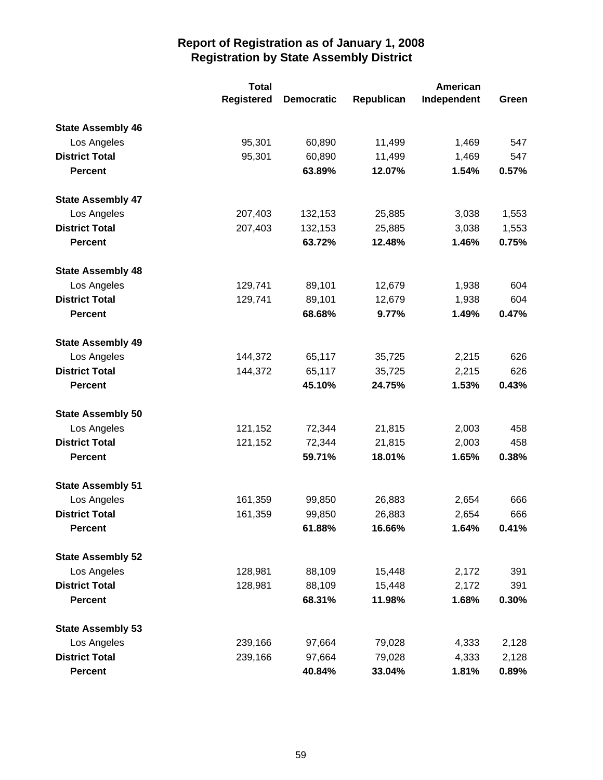|                          | <b>Total</b>      |                   |            | American    |       |
|--------------------------|-------------------|-------------------|------------|-------------|-------|
|                          | <b>Registered</b> | <b>Democratic</b> | Republican | Independent | Green |
| <b>State Assembly 46</b> |                   |                   |            |             |       |
| Los Angeles              | 95,301            | 60,890            | 11,499     | 1,469       | 547   |
| <b>District Total</b>    | 95,301            | 60,890            | 11,499     | 1,469       | 547   |
| <b>Percent</b>           |                   | 63.89%            | 12.07%     | 1.54%       | 0.57% |
| <b>State Assembly 47</b> |                   |                   |            |             |       |
| Los Angeles              | 207,403           | 132,153           | 25,885     | 3,038       | 1,553 |
| <b>District Total</b>    | 207,403           | 132,153           | 25,885     | 3,038       | 1,553 |
| <b>Percent</b>           |                   | 63.72%            | 12.48%     | 1.46%       | 0.75% |
| <b>State Assembly 48</b> |                   |                   |            |             |       |
| Los Angeles              | 129,741           | 89,101            | 12,679     | 1,938       | 604   |
| <b>District Total</b>    | 129,741           | 89,101            | 12,679     | 1,938       | 604   |
| <b>Percent</b>           |                   | 68.68%            | 9.77%      | 1.49%       | 0.47% |
| <b>State Assembly 49</b> |                   |                   |            |             |       |
| Los Angeles              | 144,372           | 65,117            | 35,725     | 2,215       | 626   |
| <b>District Total</b>    | 144,372           | 65,117            | 35,725     | 2,215       | 626   |
| <b>Percent</b>           |                   | 45.10%            | 24.75%     | 1.53%       | 0.43% |
| <b>State Assembly 50</b> |                   |                   |            |             |       |
| Los Angeles              | 121,152           | 72,344            | 21,815     | 2,003       | 458   |
| <b>District Total</b>    | 121,152           | 72,344            | 21,815     | 2,003       | 458   |
| <b>Percent</b>           |                   | 59.71%            | 18.01%     | 1.65%       | 0.38% |
| <b>State Assembly 51</b> |                   |                   |            |             |       |
| Los Angeles              | 161,359           | 99,850            | 26,883     | 2,654       | 666   |
| <b>District Total</b>    | 161,359           | 99,850            | 26,883     | 2,654       | 666   |
| <b>Percent</b>           |                   | 61.88%            | 16.66%     | 1.64%       | 0.41% |
| <b>State Assembly 52</b> |                   |                   |            |             |       |
| Los Angeles              | 128,981           | 88,109            | 15,448     | 2,172       | 391   |
| <b>District Total</b>    | 128,981           | 88,109            | 15,448     | 2,172       | 391   |
| <b>Percent</b>           |                   | 68.31%            | 11.98%     | 1.68%       | 0.30% |
| <b>State Assembly 53</b> |                   |                   |            |             |       |
| Los Angeles              | 239,166           | 97,664            | 79,028     | 4,333       | 2,128 |
| <b>District Total</b>    | 239,166           | 97,664            | 79,028     | 4,333       | 2,128 |
| <b>Percent</b>           |                   | 40.84%            | 33.04%     | 1.81%       | 0.89% |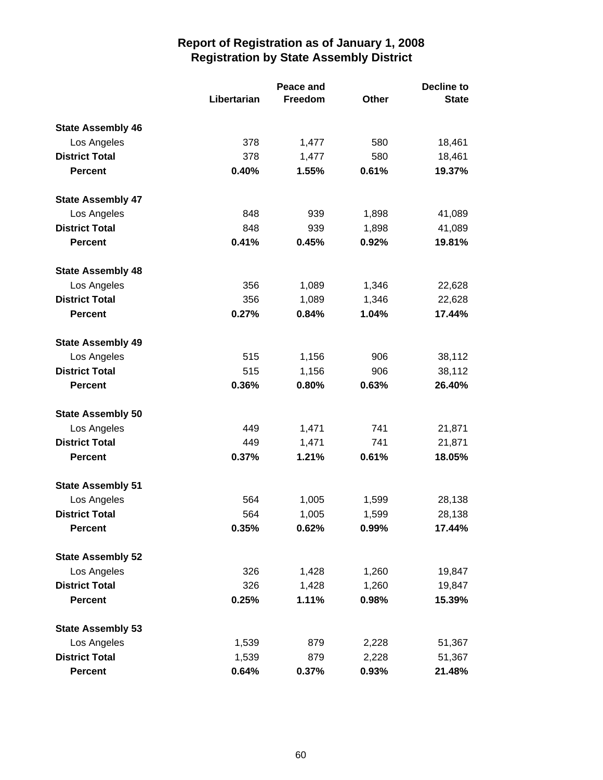|                          | Libertarian | <b>Peace and</b><br>Freedom | <b>Other</b> | <b>Decline to</b><br><b>State</b> |
|--------------------------|-------------|-----------------------------|--------------|-----------------------------------|
| <b>State Assembly 46</b> |             |                             |              |                                   |
| Los Angeles              | 378         | 1,477                       | 580          | 18,461                            |
| <b>District Total</b>    | 378         | 1,477                       | 580          | 18,461                            |
| <b>Percent</b>           | 0.40%       | 1.55%                       | 0.61%        | 19.37%                            |
| <b>State Assembly 47</b> |             |                             |              |                                   |
| Los Angeles              | 848         | 939                         | 1,898        | 41,089                            |
| <b>District Total</b>    | 848         | 939                         | 1,898        | 41,089                            |
| <b>Percent</b>           | 0.41%       | 0.45%                       | 0.92%        | 19.81%                            |
| <b>State Assembly 48</b> |             |                             |              |                                   |
| Los Angeles              | 356         | 1,089                       | 1,346        | 22,628                            |
| <b>District Total</b>    | 356         | 1,089                       | 1,346        | 22,628                            |
| <b>Percent</b>           | 0.27%       | 0.84%                       | 1.04%        | 17.44%                            |
| <b>State Assembly 49</b> |             |                             |              |                                   |
| Los Angeles              | 515         | 1,156                       | 906          | 38,112                            |
| <b>District Total</b>    | 515         | 1,156                       | 906          | 38,112                            |
| <b>Percent</b>           | 0.36%       | 0.80%                       | 0.63%        | 26.40%                            |
| <b>State Assembly 50</b> |             |                             |              |                                   |
| Los Angeles              | 449         | 1,471                       | 741          | 21,871                            |
| <b>District Total</b>    | 449         | 1,471                       | 741          | 21,871                            |
| <b>Percent</b>           | 0.37%       | 1.21%                       | 0.61%        | 18.05%                            |
| <b>State Assembly 51</b> |             |                             |              |                                   |
| Los Angeles              | 564         | 1,005                       | 1,599        | 28,138                            |
| <b>District Total</b>    | 564         | 1,005                       | 1,599        | 28,138                            |
| <b>Percent</b>           | 0.35%       | 0.62%                       | 0.99%        | 17.44%                            |
| <b>State Assembly 52</b> |             |                             |              |                                   |
| Los Angeles              | 326         | 1,428                       | 1,260        | 19,847                            |
| <b>District Total</b>    | 326         | 1,428                       | 1,260        | 19,847                            |
| <b>Percent</b>           | 0.25%       | 1.11%                       | 0.98%        | 15.39%                            |
| <b>State Assembly 53</b> |             |                             |              |                                   |
| Los Angeles              | 1,539       | 879                         | 2,228        | 51,367                            |
| <b>District Total</b>    | 1,539       | 879                         | 2,228        | 51,367                            |
| <b>Percent</b>           | 0.64%       | 0.37%                       | 0.93%        | 21.48%                            |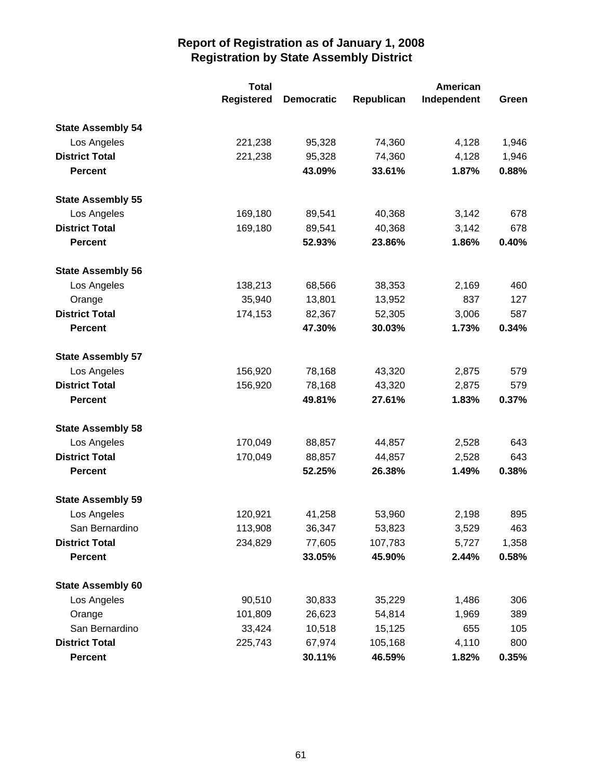|                          | <b>Total</b>      |                   |            | <b>American</b> |       |
|--------------------------|-------------------|-------------------|------------|-----------------|-------|
|                          | <b>Registered</b> | <b>Democratic</b> | Republican | Independent     | Green |
| <b>State Assembly 54</b> |                   |                   |            |                 |       |
| Los Angeles              | 221,238           | 95,328            | 74,360     | 4,128           | 1,946 |
| <b>District Total</b>    | 221,238           | 95,328            | 74,360     | 4,128           | 1,946 |
| <b>Percent</b>           |                   | 43.09%            | 33.61%     | 1.87%           | 0.88% |
| <b>State Assembly 55</b> |                   |                   |            |                 |       |
| Los Angeles              | 169,180           | 89,541            | 40,368     | 3,142           | 678   |
| <b>District Total</b>    | 169,180           | 89,541            | 40,368     | 3,142           | 678   |
| <b>Percent</b>           |                   | 52.93%            | 23.86%     | 1.86%           | 0.40% |
| <b>State Assembly 56</b> |                   |                   |            |                 |       |
| Los Angeles              | 138,213           | 68,566            | 38,353     | 2,169           | 460   |
| Orange                   | 35,940            | 13,801            | 13,952     | 837             | 127   |
| <b>District Total</b>    | 174,153           | 82,367            | 52,305     | 3,006           | 587   |
| <b>Percent</b>           |                   | 47.30%            | 30.03%     | 1.73%           | 0.34% |
| <b>State Assembly 57</b> |                   |                   |            |                 |       |
| Los Angeles              | 156,920           | 78,168            | 43,320     | 2,875           | 579   |
| <b>District Total</b>    | 156,920           | 78,168            | 43,320     | 2,875           | 579   |
| <b>Percent</b>           |                   | 49.81%            | 27.61%     | 1.83%           | 0.37% |
| <b>State Assembly 58</b> |                   |                   |            |                 |       |
| Los Angeles              | 170,049           | 88,857            | 44,857     | 2,528           | 643   |
| <b>District Total</b>    | 170,049           | 88,857            | 44,857     | 2,528           | 643   |
| <b>Percent</b>           |                   | 52.25%            | 26.38%     | 1.49%           | 0.38% |
| <b>State Assembly 59</b> |                   |                   |            |                 |       |
| Los Angeles              | 120,921           | 41,258            | 53,960     | 2,198           | 895   |
| San Bernardino           | 113,908           | 36,347            | 53,823     | 3,529           | 463   |
| <b>District Total</b>    | 234,829           | 77,605            | 107,783    | 5,727           | 1,358 |
| <b>Percent</b>           |                   | 33.05%            | 45.90%     | 2.44%           | 0.58% |
| <b>State Assembly 60</b> |                   |                   |            |                 |       |
| Los Angeles              | 90,510            | 30,833            | 35,229     | 1,486           | 306   |
| Orange                   | 101,809           | 26,623            | 54,814     | 1,969           | 389   |
| San Bernardino           | 33,424            | 10,518            | 15,125     | 655             | 105   |
| <b>District Total</b>    | 225,743           | 67,974            | 105,168    | 4,110           | 800   |
| <b>Percent</b>           |                   | 30.11%            | 46.59%     | 1.82%           | 0.35% |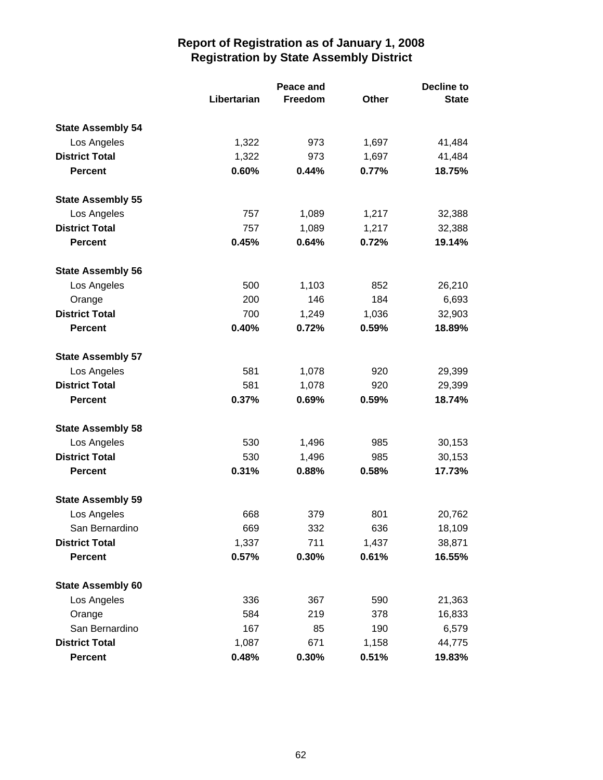|                          |             | Peace and      |       | <b>Decline to</b> |  |
|--------------------------|-------------|----------------|-------|-------------------|--|
|                          | Libertarian | <b>Freedom</b> | Other | <b>State</b>      |  |
| <b>State Assembly 54</b> |             |                |       |                   |  |
| Los Angeles              | 1,322       | 973            | 1,697 | 41,484            |  |
| <b>District Total</b>    | 1,322       | 973            | 1,697 | 41,484            |  |
| <b>Percent</b>           | 0.60%       | 0.44%          | 0.77% | 18.75%            |  |
| <b>State Assembly 55</b> |             |                |       |                   |  |
| Los Angeles              | 757         | 1,089          | 1,217 | 32,388            |  |
| <b>District Total</b>    | 757         | 1,089          | 1,217 | 32,388            |  |
| <b>Percent</b>           | 0.45%       | 0.64%          | 0.72% | 19.14%            |  |
| <b>State Assembly 56</b> |             |                |       |                   |  |
| Los Angeles              | 500         | 1,103          | 852   | 26,210            |  |
| Orange                   | 200         | 146            | 184   | 6,693             |  |
| <b>District Total</b>    | 700         | 1,249          | 1,036 | 32,903            |  |
| <b>Percent</b>           | 0.40%       | 0.72%          | 0.59% | 18.89%            |  |
| <b>State Assembly 57</b> |             |                |       |                   |  |
| Los Angeles              | 581         | 1,078          | 920   | 29,399            |  |
| <b>District Total</b>    | 581         | 1,078          | 920   | 29,399            |  |
| <b>Percent</b>           | 0.37%       | 0.69%          | 0.59% | 18.74%            |  |
| <b>State Assembly 58</b> |             |                |       |                   |  |
| Los Angeles              | 530         | 1,496          | 985   | 30,153            |  |
| <b>District Total</b>    | 530         | 1,496          | 985   | 30,153            |  |
| <b>Percent</b>           | 0.31%       | 0.88%          | 0.58% | 17.73%            |  |
| <b>State Assembly 59</b> |             |                |       |                   |  |
| Los Angeles              | 668         | 379            | 801   | 20,762            |  |
| San Bernardino           | 669         | 332            | 636   | 18,109            |  |
| <b>District Total</b>    | 1,337       | 711            | 1,437 | 38,871            |  |
| <b>Percent</b>           | 0.57%       | 0.30%          | 0.61% | 16.55%            |  |
| <b>State Assembly 60</b> |             |                |       |                   |  |
| Los Angeles              | 336         | 367            | 590   | 21,363            |  |
| Orange                   | 584         | 219            | 378   | 16,833            |  |
| San Bernardino           | 167         | 85             | 190   | 6,579             |  |
| <b>District Total</b>    | 1,087       | 671            | 1,158 | 44,775            |  |
| <b>Percent</b>           | 0.48%       | 0.30%          | 0.51% | 19.83%            |  |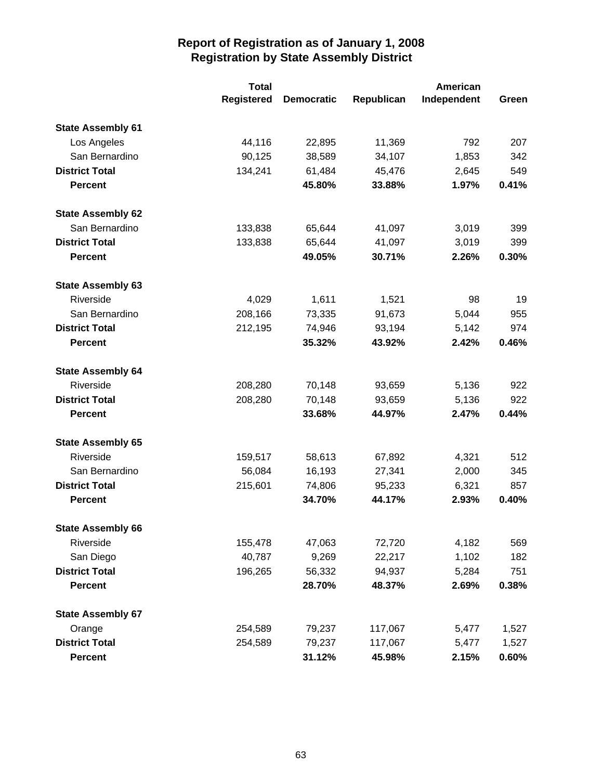|                          | <b>Total</b>      |                   |            | <b>American</b> |       |
|--------------------------|-------------------|-------------------|------------|-----------------|-------|
|                          | <b>Registered</b> | <b>Democratic</b> | Republican | Independent     | Green |
| <b>State Assembly 61</b> |                   |                   |            |                 |       |
| Los Angeles              | 44,116            | 22,895            | 11,369     | 792             | 207   |
| San Bernardino           | 90,125            | 38,589            | 34,107     | 1,853           | 342   |
| <b>District Total</b>    | 134,241           | 61,484            | 45,476     | 2,645           | 549   |
| <b>Percent</b>           |                   | 45.80%            | 33.88%     | 1.97%           | 0.41% |
| <b>State Assembly 62</b> |                   |                   |            |                 |       |
| San Bernardino           | 133,838           | 65,644            | 41,097     | 3,019           | 399   |
| <b>District Total</b>    | 133,838           | 65,644            | 41,097     | 3,019           | 399   |
| <b>Percent</b>           |                   | 49.05%            | 30.71%     | 2.26%           | 0.30% |
| <b>State Assembly 63</b> |                   |                   |            |                 |       |
| Riverside                | 4,029             | 1,611             | 1,521      | 98              | 19    |
| San Bernardino           | 208,166           | 73,335            | 91,673     | 5,044           | 955   |
| <b>District Total</b>    | 212,195           | 74,946            | 93,194     | 5,142           | 974   |
| <b>Percent</b>           |                   | 35.32%            | 43.92%     | 2.42%           | 0.46% |
| <b>State Assembly 64</b> |                   |                   |            |                 |       |
| Riverside                | 208,280           | 70,148            | 93,659     | 5,136           | 922   |
| <b>District Total</b>    | 208,280           | 70,148            | 93,659     | 5,136           | 922   |
| <b>Percent</b>           |                   | 33.68%            | 44.97%     | 2.47%           | 0.44% |
| <b>State Assembly 65</b> |                   |                   |            |                 |       |
| Riverside                | 159,517           | 58,613            | 67,892     | 4,321           | 512   |
| San Bernardino           | 56,084            | 16,193            | 27,341     | 2,000           | 345   |
| <b>District Total</b>    | 215,601           | 74,806            | 95,233     | 6,321           | 857   |
| <b>Percent</b>           |                   | 34.70%            | 44.17%     | 2.93%           | 0.40% |
| <b>State Assembly 66</b> |                   |                   |            |                 |       |
| Riverside                | 155,478           | 47,063            | 72,720     | 4,182           | 569   |
| San Diego                | 40,787            | 9,269             | 22,217     | 1,102           | 182   |
| <b>District Total</b>    | 196,265           | 56,332            | 94,937     | 5,284           | 751   |
| <b>Percent</b>           |                   | 28.70%            | 48.37%     | 2.69%           | 0.38% |
| <b>State Assembly 67</b> |                   |                   |            |                 |       |
| Orange                   | 254,589           | 79,237            | 117,067    | 5,477           | 1,527 |
| <b>District Total</b>    | 254,589           | 79,237            | 117,067    | 5,477           | 1,527 |
| <b>Percent</b>           |                   | 31.12%            | 45.98%     | 2.15%           | 0.60% |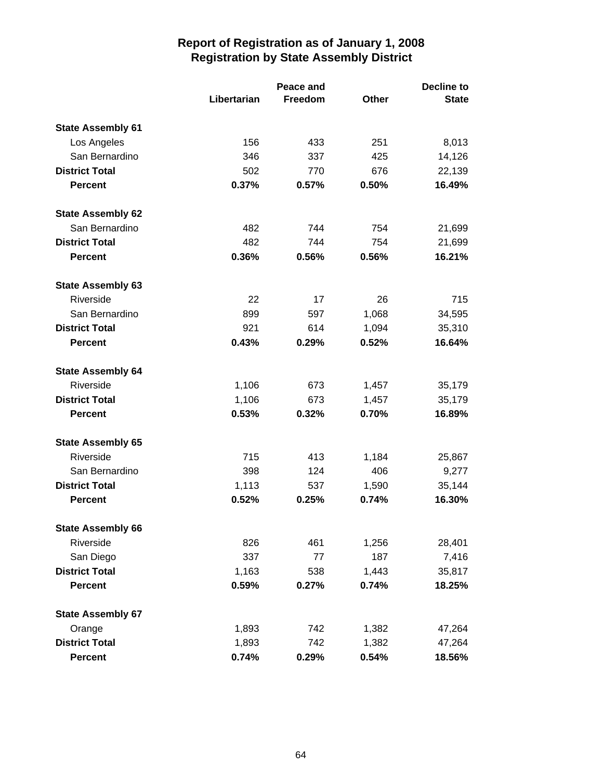|                          | Libertarian | Peace and<br>Freedom | <b>Other</b> | <b>Decline to</b><br><b>State</b> |
|--------------------------|-------------|----------------------|--------------|-----------------------------------|
| <b>State Assembly 61</b> |             |                      |              |                                   |
| Los Angeles              | 156         | 433                  | 251          | 8,013                             |
| San Bernardino           | 346         | 337                  | 425          | 14,126                            |
| <b>District Total</b>    | 502         | 770                  | 676          | 22,139                            |
| <b>Percent</b>           | 0.37%       | 0.57%                | 0.50%        | 16.49%                            |
| <b>State Assembly 62</b> |             |                      |              |                                   |
| San Bernardino           | 482         | 744                  | 754          | 21,699                            |
| <b>District Total</b>    | 482         | 744                  | 754          | 21,699                            |
| <b>Percent</b>           | 0.36%       | 0.56%                | 0.56%        | 16.21%                            |
| <b>State Assembly 63</b> |             |                      |              |                                   |
| Riverside                | 22          | 17                   | 26           | 715                               |
| San Bernardino           | 899         | 597                  | 1,068        | 34,595                            |
| <b>District Total</b>    | 921         | 614                  | 1,094        | 35,310                            |
| <b>Percent</b>           | 0.43%       | 0.29%                | 0.52%        | 16.64%                            |
| <b>State Assembly 64</b> |             |                      |              |                                   |
| Riverside                | 1,106       | 673                  | 1,457        | 35,179                            |
| <b>District Total</b>    | 1,106       | 673                  | 1,457        | 35,179                            |
| <b>Percent</b>           | 0.53%       | 0.32%                | 0.70%        | 16.89%                            |
| <b>State Assembly 65</b> |             |                      |              |                                   |
| Riverside                | 715         | 413                  | 1,184        | 25,867                            |
| San Bernardino           | 398         | 124                  | 406          | 9,277                             |
| <b>District Total</b>    | 1,113       | 537                  | 1,590        | 35,144                            |
| <b>Percent</b>           | 0.52%       | 0.25%                | 0.74%        | 16.30%                            |
| <b>State Assembly 66</b> |             |                      |              |                                   |
| Riverside                | 826         | 461                  | 1,256        | 28,401                            |
| San Diego                | 337         | 77                   | 187          | 7,416                             |
| <b>District Total</b>    | 1,163       | 538                  | 1,443        | 35,817                            |
| <b>Percent</b>           | 0.59%       | 0.27%                | 0.74%        | 18.25%                            |
| <b>State Assembly 67</b> |             |                      |              |                                   |
| Orange                   | 1,893       | 742                  | 1,382        | 47,264                            |
| <b>District Total</b>    | 1,893       | 742                  | 1,382        | 47,264                            |
| <b>Percent</b>           | 0.74%       | 0.29%                | 0.54%        | 18.56%                            |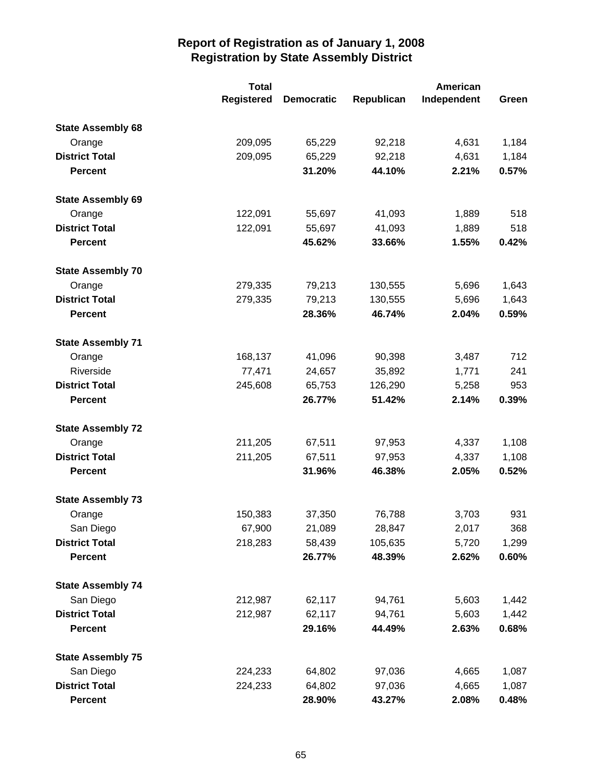|                          | <b>Total</b>      |                   |            | <b>American</b> |       |
|--------------------------|-------------------|-------------------|------------|-----------------|-------|
|                          | <b>Registered</b> | <b>Democratic</b> | Republican | Independent     | Green |
| <b>State Assembly 68</b> |                   |                   |            |                 |       |
| Orange                   | 209,095           | 65,229            | 92,218     | 4,631           | 1,184 |
| <b>District Total</b>    | 209,095           | 65,229            | 92,218     | 4,631           | 1,184 |
| <b>Percent</b>           |                   | 31.20%            | 44.10%     | 2.21%           | 0.57% |
| <b>State Assembly 69</b> |                   |                   |            |                 |       |
| Orange                   | 122,091           | 55,697            | 41,093     | 1,889           | 518   |
| <b>District Total</b>    | 122,091           | 55,697            | 41,093     | 1,889           | 518   |
| <b>Percent</b>           |                   | 45.62%            | 33.66%     | 1.55%           | 0.42% |
| <b>State Assembly 70</b> |                   |                   |            |                 |       |
| Orange                   | 279,335           | 79,213            | 130,555    | 5,696           | 1,643 |
| <b>District Total</b>    | 279,335           | 79,213            | 130,555    | 5,696           | 1,643 |
| <b>Percent</b>           |                   | 28.36%            | 46.74%     | 2.04%           | 0.59% |
| <b>State Assembly 71</b> |                   |                   |            |                 |       |
| Orange                   | 168,137           | 41,096            | 90,398     | 3,487           | 712   |
| Riverside                | 77,471            | 24,657            | 35,892     | 1,771           | 241   |
| <b>District Total</b>    | 245,608           | 65,753            | 126,290    | 5,258           | 953   |
| <b>Percent</b>           |                   | 26.77%            | 51.42%     | 2.14%           | 0.39% |
| <b>State Assembly 72</b> |                   |                   |            |                 |       |
| Orange                   | 211,205           | 67,511            | 97,953     | 4,337           | 1,108 |
| <b>District Total</b>    | 211,205           | 67,511            | 97,953     | 4,337           | 1,108 |
| <b>Percent</b>           |                   | 31.96%            | 46.38%     | 2.05%           | 0.52% |
| <b>State Assembly 73</b> |                   |                   |            |                 |       |
| Orange                   | 150,383           | 37,350            | 76,788     | 3,703           | 931   |
| San Diego                | 67,900            | 21,089            | 28,847     | 2,017           | 368   |
| <b>District Total</b>    | 218,283           | 58,439            | 105,635    | 5,720           | 1,299 |
| <b>Percent</b>           |                   | 26.77%            | 48.39%     | 2.62%           | 0.60% |
| <b>State Assembly 74</b> |                   |                   |            |                 |       |
| San Diego                | 212,987           | 62,117            | 94,761     | 5,603           | 1,442 |
| <b>District Total</b>    | 212,987           | 62,117            | 94,761     | 5,603           | 1,442 |
| <b>Percent</b>           |                   | 29.16%            | 44.49%     | 2.63%           | 0.68% |
| <b>State Assembly 75</b> |                   |                   |            |                 |       |
| San Diego                | 224,233           | 64,802            | 97,036     | 4,665           | 1,087 |
| <b>District Total</b>    | 224,233           | 64,802            | 97,036     | 4,665           | 1,087 |
| <b>Percent</b>           |                   | 28.90%            | 43.27%     | 2.08%           | 0.48% |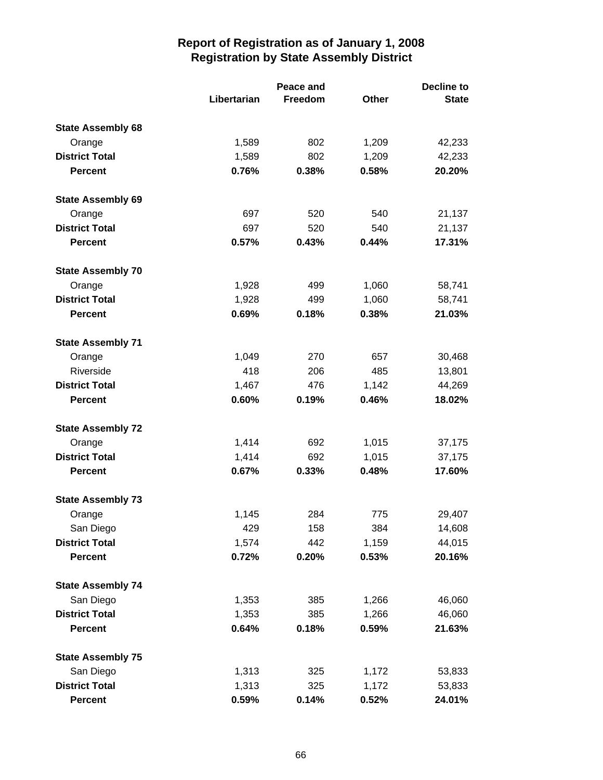|                          |             | Peace and      |       | <b>Decline to</b> |  |
|--------------------------|-------------|----------------|-------|-------------------|--|
|                          | Libertarian | <b>Freedom</b> | Other | <b>State</b>      |  |
| <b>State Assembly 68</b> |             |                |       |                   |  |
| Orange                   | 1,589       | 802            | 1,209 | 42,233            |  |
| <b>District Total</b>    | 1,589       | 802            | 1,209 | 42,233            |  |
| <b>Percent</b>           | 0.76%       | 0.38%          | 0.58% | 20.20%            |  |
| <b>State Assembly 69</b> |             |                |       |                   |  |
| Orange                   | 697         | 520            | 540   | 21,137            |  |
| <b>District Total</b>    | 697         | 520            | 540   | 21,137            |  |
| <b>Percent</b>           | 0.57%       | 0.43%          | 0.44% | 17.31%            |  |
| <b>State Assembly 70</b> |             |                |       |                   |  |
| Orange                   | 1,928       | 499            | 1,060 | 58,741            |  |
| <b>District Total</b>    | 1,928       | 499            | 1,060 | 58,741            |  |
| <b>Percent</b>           | 0.69%       | 0.18%          | 0.38% | 21.03%            |  |
| <b>State Assembly 71</b> |             |                |       |                   |  |
| Orange                   | 1,049       | 270            | 657   | 30,468            |  |
| Riverside                | 418         | 206            | 485   | 13,801            |  |
| <b>District Total</b>    | 1,467       | 476            | 1,142 | 44,269            |  |
| <b>Percent</b>           | 0.60%       | 0.19%          | 0.46% | 18.02%            |  |
| <b>State Assembly 72</b> |             |                |       |                   |  |
| Orange                   | 1,414       | 692            | 1,015 | 37,175            |  |
| <b>District Total</b>    | 1,414       | 692            | 1,015 | 37,175            |  |
| <b>Percent</b>           | 0.67%       | 0.33%          | 0.48% | 17.60%            |  |
| <b>State Assembly 73</b> |             |                |       |                   |  |
| Orange                   | 1,145       | 284            | 775   | 29,407            |  |
| San Diego                | 429         | 158            | 384   | 14,608            |  |
| <b>District Total</b>    | 1,574       | 442            | 1,159 | 44,015            |  |
| <b>Percent</b>           | 0.72%       | 0.20%          | 0.53% | 20.16%            |  |
| <b>State Assembly 74</b> |             |                |       |                   |  |
| San Diego                | 1,353       | 385            | 1,266 | 46,060            |  |
| <b>District Total</b>    | 1,353       | 385            | 1,266 | 46,060            |  |
| <b>Percent</b>           | 0.64%       | 0.18%          | 0.59% | 21.63%            |  |
| <b>State Assembly 75</b> |             |                |       |                   |  |
| San Diego                | 1,313       | 325            | 1,172 | 53,833            |  |
| <b>District Total</b>    | 1,313       | 325            | 1,172 | 53,833            |  |
| <b>Percent</b>           | 0.59%       | 0.14%          | 0.52% | 24.01%            |  |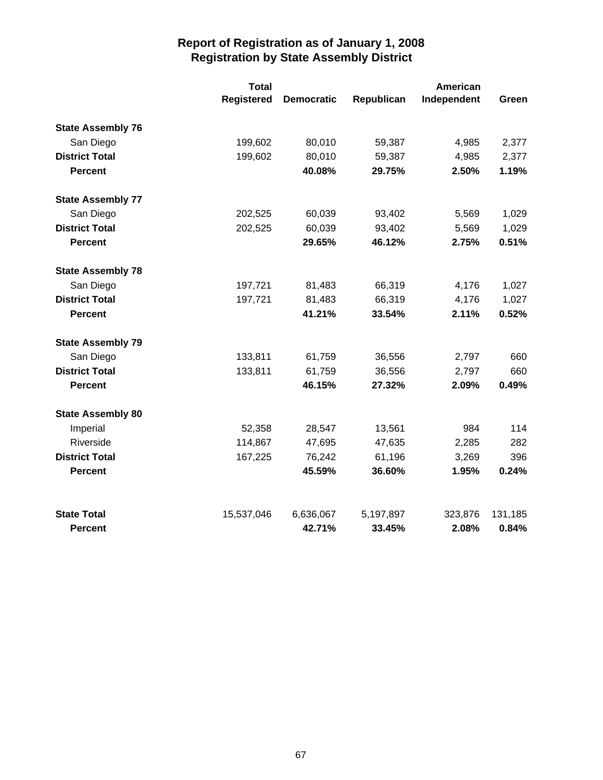|                          | <b>Total</b>      |                   |            | <b>American</b> |         |  |
|--------------------------|-------------------|-------------------|------------|-----------------|---------|--|
|                          | <b>Registered</b> | <b>Democratic</b> | Republican | Independent     | Green   |  |
| <b>State Assembly 76</b> |                   |                   |            |                 |         |  |
| San Diego                | 199,602           | 80,010            | 59,387     | 4,985           | 2,377   |  |
| <b>District Total</b>    | 199,602           | 80,010            | 59,387     | 4,985           | 2,377   |  |
| <b>Percent</b>           |                   | 40.08%            | 29.75%     | 2.50%           | 1.19%   |  |
| <b>State Assembly 77</b> |                   |                   |            |                 |         |  |
| San Diego                | 202,525           | 60,039            | 93,402     | 5,569           | 1,029   |  |
| <b>District Total</b>    | 202,525           | 60,039            | 93,402     | 5,569           | 1,029   |  |
| <b>Percent</b>           |                   | 29.65%            | 46.12%     | 2.75%           | 0.51%   |  |
| <b>State Assembly 78</b> |                   |                   |            |                 |         |  |
| San Diego                | 197,721           | 81,483            | 66,319     | 4,176           | 1,027   |  |
| <b>District Total</b>    | 197,721           | 81,483            | 66,319     | 4,176           | 1,027   |  |
| <b>Percent</b>           |                   | 41.21%            | 33.54%     | 2.11%           | 0.52%   |  |
| <b>State Assembly 79</b> |                   |                   |            |                 |         |  |
| San Diego                | 133,811           | 61,759            | 36,556     | 2,797           | 660     |  |
| <b>District Total</b>    | 133,811           | 61,759            | 36,556     | 2,797           | 660     |  |
| <b>Percent</b>           |                   | 46.15%            | 27.32%     | 2.09%           | 0.49%   |  |
| <b>State Assembly 80</b> |                   |                   |            |                 |         |  |
| Imperial                 | 52,358            | 28,547            | 13,561     | 984             | 114     |  |
| Riverside                | 114,867           | 47,695            | 47,635     | 2,285           | 282     |  |
| <b>District Total</b>    | 167,225           | 76,242            | 61,196     | 3,269           | 396     |  |
| <b>Percent</b>           |                   | 45.59%            | 36.60%     | 1.95%           | 0.24%   |  |
| <b>State Total</b>       | 15,537,046        | 6,636,067         | 5,197,897  | 323,876         | 131,185 |  |
| <b>Percent</b>           |                   | 42.71%            | 33.45%     | 2.08%           | 0.84%   |  |